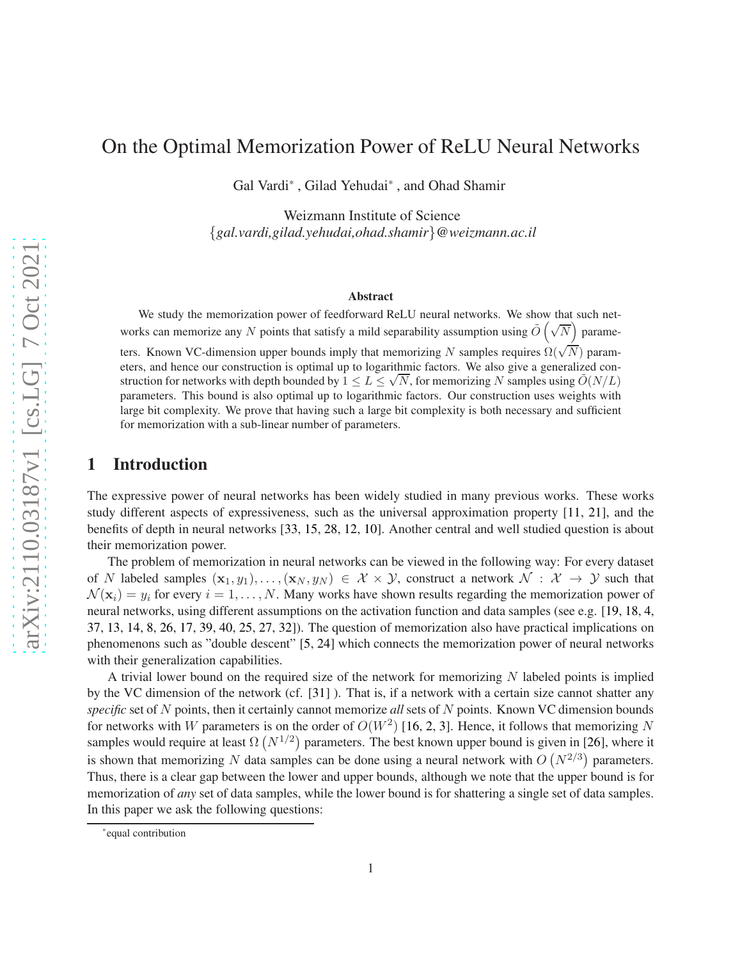# On the Optimal Memorization Power of ReLU Neural Networks

Gal Vardi\* , Gilad Yehudai\* , and Ohad Shamir

Weizmann Institute of Science {*gal.vardi,gilad.yehudai,ohad.shamir*}*@weizmann.ac.il*

#### Abstract

We study the memorization power of feedforward ReLU neural networks. We show that such networks can memorize any N points that satisfy a mild separability assumption using  $\tilde{O}(\sqrt{N})$  parame-

ters. Known VC-dimension upper bounds imply that memorizing N samples requires  $\Omega(\sqrt{N})$  parameters, and hence our construction is optimal up to logarithmic factors. We also give a generalized construction for networks with depth bounded by  $1 \le L \le \sqrt{N}$ , for memorizing N samples using  $\tilde{O}(N/L)$ parameters. This bound is also optimal up to logarithmic factors. Our construction uses weights with large bit complexity. We prove that having such a large bit complexity is both necessary and sufficient for memorization with a sub-linear number of parameters.

# 1 Introduction

The expressive power of neural networks has been widely studied in many previous works. These works study different aspects of expressiveness, such as the universal approximation property [\[11](#page-9-0), [21\]](#page-10-0), and the benefits of depth in neural networks [\[33,](#page-11-0) [15](#page-9-1), [28](#page-10-1), [12,](#page-9-2) [10](#page-9-3)]. Another central and well studied question is about their memorization power.

The problem of memorization in neural networks can be viewed in the following way: For every dataset of N labeled samples  $(x_1, y_1), \ldots, (x_N, y_N) \in \mathcal{X} \times \mathcal{Y}$ , construct a network  $\mathcal{N} : \mathcal{X} \to \mathcal{Y}$  such that  $\mathcal{N}(\mathbf{x}_i) = y_i$  for every  $i = 1, \dots, N$ . Many works have shown results regarding the memorization power of neural networks, using different assumptions on the activation function and data samples (see e.g. [\[19,](#page-10-2) [18,](#page-10-3) [4](#page-9-4), [37,](#page-11-1) [13](#page-9-5), [14,](#page-9-6) [8](#page-9-7), [26,](#page-10-4) [17](#page-10-5), [39](#page-11-2), [40](#page-11-3), [25](#page-10-6), [27,](#page-10-7) [32](#page-10-8)]). The question of memorization also have practical implications on phenomenons such as "double descent" [\[5](#page-9-8), [24\]](#page-10-9) which connects the memorization power of neural networks with their generalization capabilities.

A trivial lower bound on the required size of the network for memorizing N labeled points is implied by the VC dimension of the network (cf. [\[31\]](#page-10-10) ). That is, if a network with a certain size cannot shatter any *specific* set of N points, then it certainly cannot memorize *all* sets of N points. Known VC dimension bounds for networks with W parameters is on the order of  $O(W^2)$  $O(W^2)$  $O(W^2)$  [\[16](#page-10-11), 2, [3](#page-9-10)]. Hence, it follows that memorizing N samples would require at least  $\Omega (N^{1/2})$  parameters. The best known upper bound is given in [\[26\]](#page-10-4), where it is shown that memorizing N data samples can be done using a neural network with  $O(N^{2/3})$  parameters. Thus, there is a clear gap between the lower and upper bounds, although we note that the upper bound is for memorization of *any* set of data samples, while the lower bound is for shattering a single set of data samples. In this paper we ask the following questions:

<sup>\*</sup>equal contribution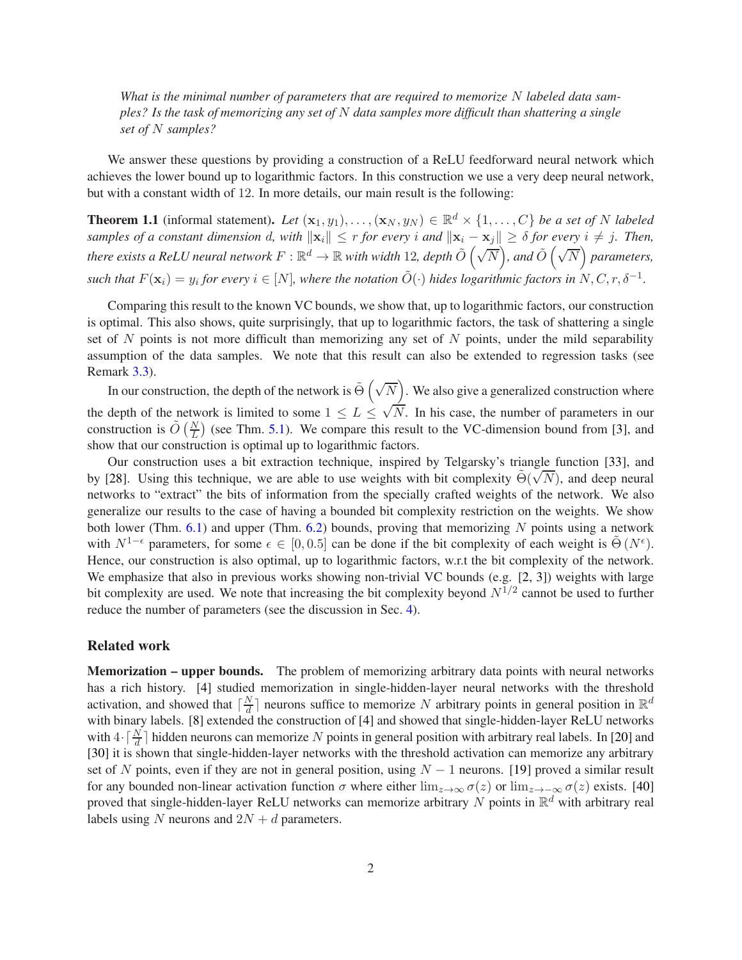*What is the minimal number of parameters that are required to memorize* N *labeled data samples? Is the task of memorizing any set of* N *data samples more difficult than shattering a single set of* N *samples?*

We answer these questions by providing a construction of a ReLU feedforward neural network which achieves the lower bound up to logarithmic factors. In this construction we use a very deep neural network, but with a constant width of 12. In more details, our main result is the following:

<span id="page-1-0"></span>**Theorem 1.1** (informal statement). Let  $(\mathbf{x}_1, y_1), \ldots, (\mathbf{x}_N, y_N) \in \mathbb{R}^d \times \{1, \ldots, C\}$  be a set of N labeled *samples of a constant dimension* d, with  $||\mathbf{x}_i|| \leq r$  *for every* i and  $||\mathbf{x}_i - \mathbf{x}_j|| \geq \delta$  *for every*  $i \neq j$ . Then, there exists a ReLU neural network  $F:\R^d\to\R$  with width  $12$ , depth  $\tilde O\left(\sqrt{N}\right)$ , and  $\tilde O\left(\sqrt{N}\right)$  parameters, *such that*  $F(\mathbf{x}_i) = y_i$  for every  $i \in [N]$ , where the notation  $\tilde{O}(\cdot)$  hides logarithmic factors in  $N, C, r, \delta^{-1}$ .

Comparing this result to the known VC bounds, we show that, up to logarithmic factors, our construction is optimal. This also shows, quite surprisingly, that up to logarithmic factors, the task of shattering a single set of  $N$  points is not more difficult than memorizing any set of  $N$  points, under the mild separability assumption of the data samples. We note that this result can also be extended to regression tasks (see Remark [3.3\)](#page-4-0).

In our construction, the depth of the network is  $\tilde{\Theta}(\sqrt{N})$ . We also give a generalized construction where the depth of the network is limited to some  $1 \le L \le \sqrt{N}$ . In his case, the number of parameters in our construction is  $\tilde{O}\left(\frac{N}{L}\right)$  (see Thm. [5.1\)](#page-7-0). We compare this result to the VC-dimension bound from [\[3](#page-9-10)], and show that our construction is optimal up to logarithmic factors.

Our construction uses a bit extraction technique, inspired by Telgarsky's triangle function [\[33](#page-11-0)], and by [\[28](#page-10-1)]. Using this technique, we are able to use weights with bit complexity  $\tilde{\Theta}(\sqrt{N})$ , and deep neural networks to "extract" the bits of information from the specially crafted weights of the network. We also generalize our results to the case of having a bounded bit complexity restriction on the weights. We show both lower (Thm. [6.1\)](#page-7-1) and upper (Thm. [6.2\)](#page-8-0) bounds, proving that memorizing N points using a network with  $N^{1-\epsilon}$  parameters, for some  $\epsilon \in [0, 0.5]$  can be done if the bit complexity of each weight is  $\tilde{\Theta}(N^{\epsilon})$ . Hence, our construction is also optimal, up to logarithmic factors, w.r.t the bit complexity of the network. We emphasize that also in previous works showing non-trivial VC bounds (e.g. [\[2,](#page-9-9) [3](#page-9-10)]) weights with large bit complexity are used. We note that increasing the bit complexity beyond  $N^{1/2}$  cannot be used to further reduce the number of parameters (see the discussion in Sec. [4\)](#page-5-0).

#### Related work

Memorization – upper bounds. The problem of memorizing arbitrary data points with neural networks has a rich history. [\[4](#page-9-4)] studied memorization in single-hidden-layer neural networks with the threshold activation, and showed that  $\lceil \frac{N}{d} \rceil$  $\frac{N}{d}$ ] neurons suffice to memorize N arbitrary points in general position in  $\mathbb{R}^d$ with binary labels. [\[8\]](#page-9-7) extended the construction of [\[4](#page-9-4)] and showed that single-hidden-layer ReLU networks with  $4 \cdot \lceil \frac{N}{d} \rceil$  hidden neurons can memorize N points in general position with arbitrary real labels. In [\[20](#page-10-12)] and [\[30](#page-10-13)] it is shown that single-hidden-layer networks with the threshold activation can memorize any arbitrary set of N points, even if they are not in general position, using  $N - 1$  neurons. [\[19](#page-10-2)] proved a similar result for any bounded non-linear activation function  $\sigma$  where either  $\lim_{z\to\infty}\sigma(z)$  or  $\lim_{z\to-\infty}\sigma(z)$  exists. [\[40](#page-11-3)] proved that single-hidden-layer ReLU networks can memorize arbitrary N points in  $\mathbb{R}^d$  with arbitrary real labels using N neurons and  $2N + d$  parameters.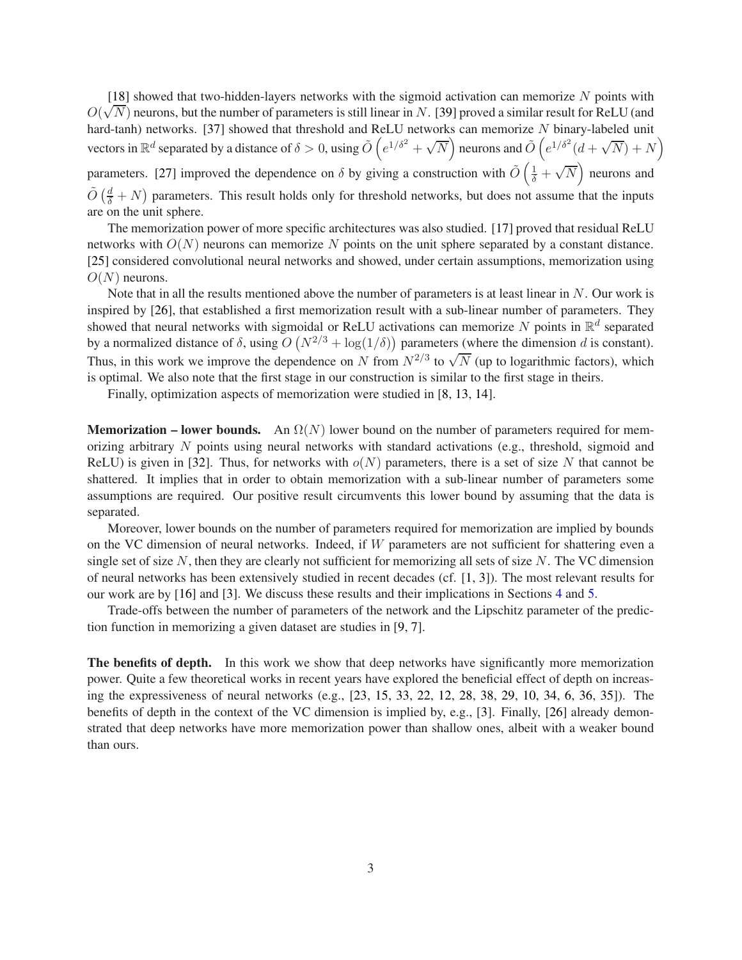[\[18](#page-10-3)] showed that two-hidden-layers networks with the sigmoid activation can memorize  $N$  points with  $O(\sqrt{N})$  neurons, but the number of parameters is still linear in N. [\[39](#page-11-2)] proved a similar result for ReLU (and hard-tanh) networks. [\[37\]](#page-11-1) showed that threshold and ReLU networks can memorize N binary-labeled unit vectors in  $\mathbb{R}^d$  separated by a distance of  $\delta > 0$ , using  $\tilde{O}\left(e^{1/\delta^2} + \sqrt{N}\right)$  neurons and  $\tilde{O}\left(e^{1/\delta^2}(d + \sqrt{N}) + N\right)$ parameters. [\[27](#page-10-7)] improved the dependence on  $\delta$  by giving a construction with  $\tilde{O}(\frac{1}{\delta} + \sqrt{N})$  neurons and  $\tilde{O}(\frac{d}{\delta} + N)$  parameters. This result holds only for threshold networks, but does not assume that the inputs

are on the unit sphere.

The memorization power of more specific architectures was also studied. [\[17](#page-10-5)] proved that residual ReLU networks with  $O(N)$  neurons can memorize N points on the unit sphere separated by a constant distance. [\[25](#page-10-6)] considered convolutional neural networks and showed, under certain assumptions, memorization using  $O(N)$  neurons.

Note that in all the results mentioned above the number of parameters is at least linear in  $N$ . Our work is inspired by [\[26](#page-10-4)], that established a first memorization result with a sub-linear number of parameters. They showed that neural networks with sigmoidal or ReLU activations can memorize N points in  $\mathbb{R}^d$  separated by a normalized distance of  $\delta$ , using  $O(N^{2/3} + \log(1/\delta))$  parameters (where the dimension d is constant). Thus, in this work we improve the dependence on N from  $N^{2/3}$  to  $\sqrt{N}$  (up to logarithmic factors), which is optimal. We also note that the first stage in our construction is similar to the first stage in theirs.

Finally, optimization aspects of memorization were studied in [\[8](#page-9-7), [13,](#page-9-5) [14](#page-9-6)].

**Memorization – lower bounds.** An  $\Omega(N)$  lower bound on the number of parameters required for memorizing arbitrary  $N$  points using neural networks with standard activations (e.g., threshold, sigmoid and ReLU) is given in [\[32\]](#page-10-8). Thus, for networks with  $o(N)$  parameters, there is a set of size N that cannot be shattered. It implies that in order to obtain memorization with a sub-linear number of parameters some assumptions are required. Our positive result circumvents this lower bound by assuming that the data is separated.

Moreover, lower bounds on the number of parameters required for memorization are implied by bounds on the VC dimension of neural networks. Indeed, if W parameters are not sufficient for shattering even a single set of size  $N$ , then they are clearly not sufficient for memorizing all sets of size  $N$ . The VC dimension of neural networks has been extensively studied in recent decades (cf. [\[1,](#page-9-11) [3\]](#page-9-10)). The most relevant results for our work are by [\[16](#page-10-11)] and [\[3](#page-9-10)]. We discuss these results and their implications in Sections [4](#page-5-0) and [5.](#page-6-0)

Trade-offs between the number of parameters of the network and the Lipschitz parameter of the prediction function in memorizing a given dataset are studies in [\[9,](#page-9-12) [7\]](#page-9-13).

The benefits of depth. In this work we show that deep networks have significantly more memorization power. Quite a few theoretical works in recent years have explored the beneficial effect of depth on increasing the expressiveness of neural networks (e.g., [\[23](#page-10-14), [15](#page-9-1), [33,](#page-11-0) [22](#page-10-15), [12,](#page-9-2) [28](#page-10-1), [38](#page-11-4), [29,](#page-10-16) [10](#page-9-3), [34,](#page-11-5) [6,](#page-9-14) [36](#page-11-6), [35](#page-11-7)]). The benefits of depth in the context of the VC dimension is implied by, e.g., [\[3](#page-9-10)]. Finally, [\[26](#page-10-4)] already demonstrated that deep networks have more memorization power than shallow ones, albeit with a weaker bound than ours.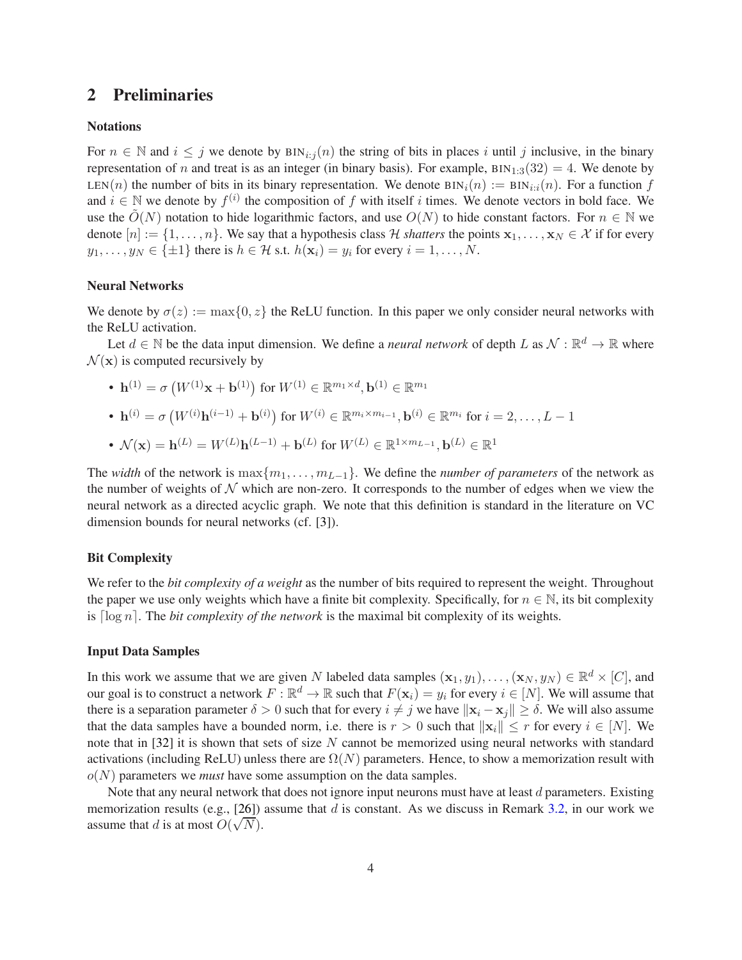# 2 Preliminaries

#### **Notations**

For  $n \in \mathbb{N}$  and  $i \leq j$  we denote by  $\text{BIN}_{i:j}(n)$  the string of bits in places i until j inclusive, in the binary representation of n and treat is as an integer (in binary basis). For example,  $\text{BIN}_{1:3}(32) = 4$ . We denote by LEN(n) the number of bits in its binary representation. We denote  $BIN_i(n) := BIN_{i:i}(n)$ . For a function f and  $i \in \mathbb{N}$  we denote by  $f^{(i)}$  the composition of f with itself i times. We denote vectors in bold face. We use the  $O(N)$  notation to hide logarithmic factors, and use  $O(N)$  to hide constant factors. For  $n \in \mathbb{N}$  we denote  $[n] := \{1, \ldots, n\}$ . We say that a hypothesis class H *shatters* the points  $x_1, \ldots, x_N \in \mathcal{X}$  if for every  $y_1, \ldots, y_N \in \{\pm 1\}$  there is  $h \in \mathcal{H}$  s.t.  $h(\mathbf{x}_i) = y_i$  for every  $i = 1, \ldots, N$ .

#### Neural Networks

We denote by  $\sigma(z) := \max\{0, z\}$  the ReLU function. In this paper we only consider neural networks with the ReLU activation.

Let  $d \in \mathbb{N}$  be the data input dimension. We define a *neural network* of depth L as  $\mathcal{N} : \mathbb{R}^d \to \mathbb{R}$  where  $\mathcal{N}(\mathbf{x})$  is computed recursively by

• 
$$
\mathbf{h}^{(1)} = \sigma (W^{(1)}\mathbf{x} + \mathbf{b}^{(1)})
$$
 for  $W^{(1)} \in \mathbb{R}^{m_1 \times d}$ ,  $\mathbf{b}^{(1)} \in \mathbb{R}^{m_1}$   
\n•  $\mathbf{h}^{(i)} = \sigma (W^{(i)}\mathbf{h}^{(i-1)} + \mathbf{b}^{(i)})$  for  $W^{(i)} \in \mathbb{R}^{m_i \times m_{i-1}}$ ,  $\mathbf{b}^{(i)} \in \mathbb{R}^{m_i}$  for  $i = 2, ..., L - 1$   
\n•  $\mathcal{N}(\mathbf{x}) = \mathbf{h}^{(L)} = W^{(L)}\mathbf{h}^{(L-1)} + \mathbf{b}^{(L)}$  for  $W^{(L)} \in \mathbb{R}^{1 \times m_{L-1}}$ ,  $\mathbf{b}^{(L)} \in \mathbb{R}^{1}$ 

The *width* of the network is  $\max\{m_1, \ldots, m_{L-1}\}$ . We define the *number of parameters* of the network as the number of weights of  $N$  which are non-zero. It corresponds to the number of edges when we view the neural network as a directed acyclic graph. We note that this definition is standard in the literature on VC dimension bounds for neural networks (cf. [\[3\]](#page-9-10)).

#### Bit Complexity

We refer to the *bit complexity of a weight* as the number of bits required to represent the weight. Throughout the paper we use only weights which have a finite bit complexity. Specifically, for  $n \in \mathbb{N}$ , its bit complexity is  $\lceil \log n \rceil$ . The *bit complexity of the network* is the maximal bit complexity of its weights.

#### Input Data Samples

In this work we assume that we are given N labeled data samples  $(\mathbf{x}_1, y_1), \dots, (\mathbf{x}_N, y_N) \in \mathbb{R}^d \times [C]$ , and our goal is to construct a network  $F : \mathbb{R}^d \to \mathbb{R}$  such that  $F(\mathbf{x}_i) = y_i$  for every  $i \in [N]$ . We will assume that there is a separation parameter  $\delta > 0$  such that for every  $i \neq j$  we have  $\|\mathbf{x}_i - \mathbf{x}_j\| \geq \delta$ . We will also assume that the data samples have a bounded norm, i.e. there is  $r > 0$  such that  $\|\mathbf{x}_i\| \leq r$  for every  $i \in [N]$ . We note that in [\[32\]](#page-10-8) it is shown that sets of size N cannot be memorized using neural networks with standard activations (including ReLU) unless there are  $\Omega(N)$  parameters. Hence, to show a memorization result with  $o(N)$  parameters we *must* have some assumption on the data samples.

Note that any neural network that does not ignore input neurons must have at least  $d$  parameters. Existing memorization results (e.g., [\[26](#page-10-4)]) assume that d is constant. As we discuss in Remark [3.2,](#page-4-1) in our work we assume that d is at most  $O(\sqrt{N})$ .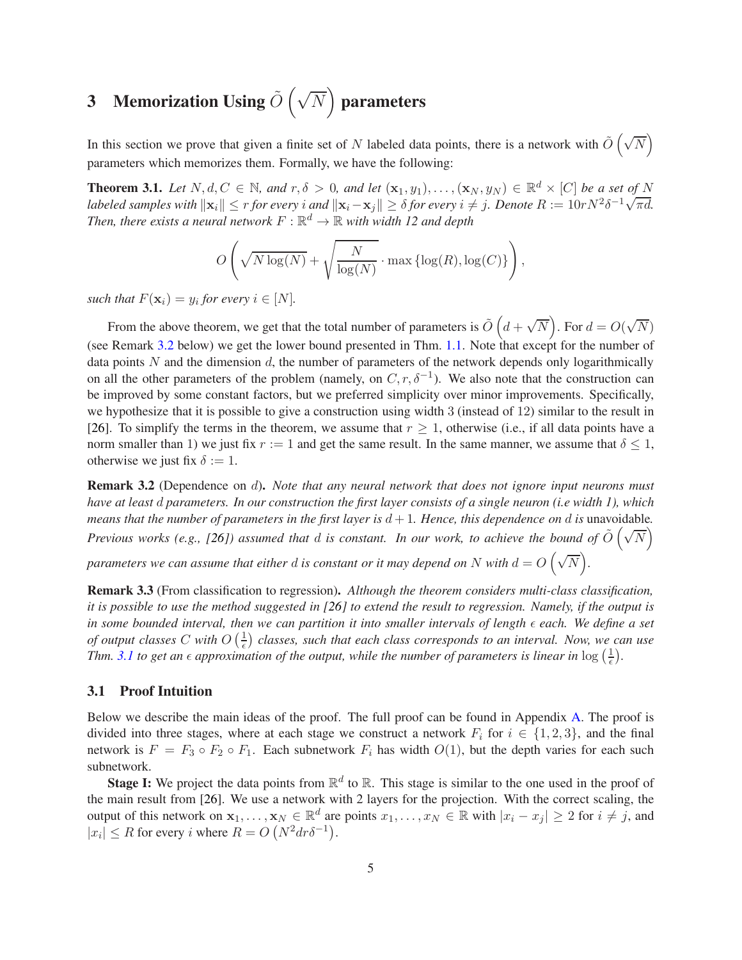# <span id="page-4-3"></span>3 Memorization Using  $\tilde{O}(\sqrt{N})$  parameters

In this section we prove that given a finite set of N labeled data points, there is a network with  $\tilde{O}(\sqrt{N})$ parameters which memorizes them. Formally, we have the following:

<span id="page-4-2"></span>**Theorem 3.1.** Let  $N, d, C \in \mathbb{N}$ , and  $r, \delta > 0$ , and let  $(\mathbf{x}_1, y_1), \ldots, (\mathbf{x}_N, y_N) \in \mathbb{R}^d \times [C]$  be a set of N *labeled samples with*  $\|\mathbf{x}_i\| \le r$  *for every i and*  $\|\mathbf{x}_i - \mathbf{x}_j\| \ge \delta$  *for every*  $i \ne j$ . Denote  $R := 10rN^2\delta^{-1}\sqrt{\pi d}$ . Then, there exists a neural network  $F : \mathbb{R}^d \to \mathbb{R}$  with width 12 and depth

$$
O\left(\sqrt{N\log(N)} + \sqrt{\frac{N}{\log(N)}} \cdot \max\left\{\log(R), \log(C)\right\}\right),\,
$$

*such that*  $F(\mathbf{x}_i) = y_i$  *for every*  $i \in [N]$ *.* 

From the above theorem, we get that the total number of parameters is  $\tilde{O}$   $(d + \sqrt{N})$ . For  $d = O(\sqrt{N})$ (see Remark [3.2](#page-4-1) below) we get the lower bound presented in Thm. [1.1.](#page-1-0) Note that except for the number of data points N and the dimension d, the number of parameters of the network depends only logarithmically on all the other parameters of the problem (namely, on  $C, r, \delta^{-1}$ ). We also note that the construction can be improved by some constant factors, but we preferred simplicity over minor improvements. Specifically, we hypothesize that it is possible to give a construction using width 3 (instead of 12) similar to the result in [\[26](#page-10-4)]. To simplify the terms in the theorem, we assume that  $r > 1$ , otherwise (i.e., if all data points have a norm smaller than 1) we just fix  $r := 1$  and get the same result. In the same manner, we assume that  $\delta \leq 1$ , otherwise we just fix  $\delta := 1$ .

<span id="page-4-1"></span>Remark 3.2 (Dependence on d). *Note that any neural network that does not ignore input neurons must have at least* d *parameters. In our construction the first layer consists of a single neuron (i.e width 1), which means that the number of parameters in the first layer is*  $d+1$ *. Hence, this dependence on d is* unavoidable. *Previous works (e.g., [\[26](#page-10-4)]) assumed that d is constant. In our work, to achieve the bound of*  $\tilde{O}(\sqrt{N})$ 

parameters we can assume that either  $d$  is constant or it may depend on  $N$  with  $d = O\left(\sqrt{N}\right)$ .

<span id="page-4-0"></span>Remark 3.3 (From classification to regression). *Although the theorem considers multi-class classification, it is possible to use the method suggested in [\[26](#page-10-4)] to extend the result to regression. Namely, if the output is in some bounded interval, then we can partition it into smaller intervals of length*  $\epsilon$  *each. We define a set of output classes* C with  $O\left(\frac{1}{\epsilon}\right)$  $\frac{1}{\epsilon}$ ) classes, such that each class corresponds to an interval. Now, we can use *Thm.* [3.1](#page-4-2) to get an  $\epsilon$  approximation of the output, while the number of parameters is linear in  $\log(\frac{1}{\epsilon})$  $(\frac{1}{\epsilon}).$ 

#### 3.1 Proof Intuition

Below we describe the main ideas of the proof. The full proof can be found in Appendix [A.](#page-11-8) The proof is divided into three stages, where at each stage we construct a network  $F_i$  for  $i \in \{1, 2, 3\}$ , and the final network is  $F = F_3 \circ F_2 \circ F_1$ . Each subnetwork  $F_i$  has width  $O(1)$ , but the depth varies for each such subnetwork.

**Stage I:** We project the data points from  $\mathbb{R}^d$  to  $\mathbb{R}$ . This stage is similar to the one used in the proof of the main result from [\[26](#page-10-4)]. We use a network with 2 layers for the projection. With the correct scaling, the output of this network on  $x_1, \ldots, x_N \in \mathbb{R}^d$  are points  $x_1, \ldots, x_N \in \mathbb{R}$  with  $|x_i - x_j| \ge 2$  for  $i \ne j$ , and  $|x_i| \leq R$  for every *i* where  $R = O(N^2 dr \delta^{-1}).$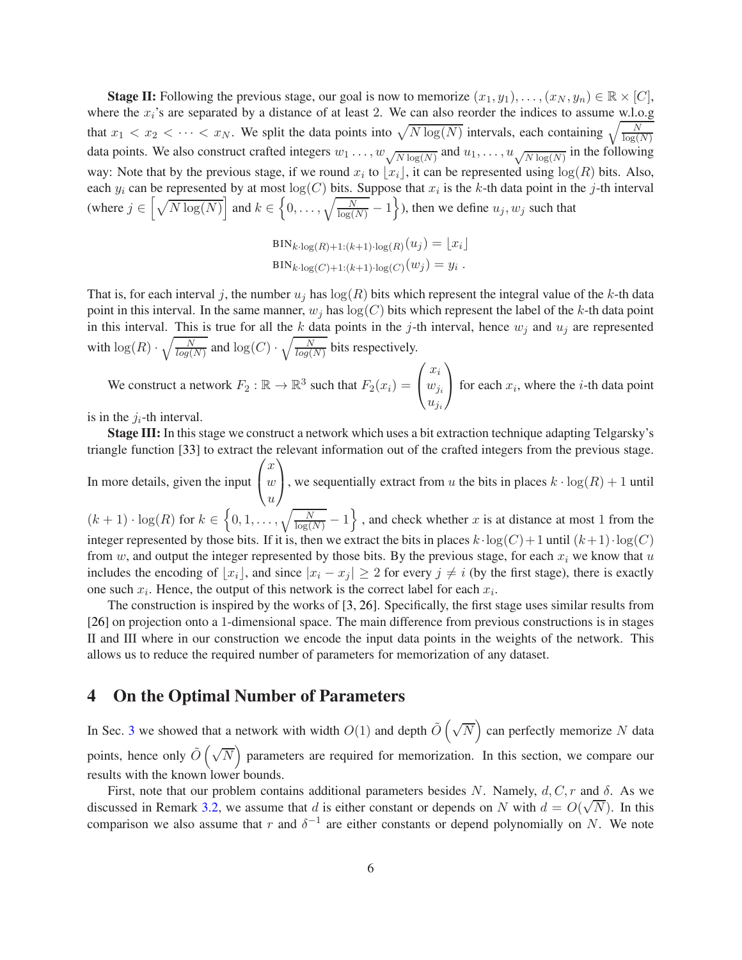**Stage II:** Following the previous stage, our goal is now to memorize  $(x_1, y_1), \ldots, (x_N, y_n) \in \mathbb{R} \times [C]$ , where the  $x_i$ 's are separated by a distance of at least 2. We can also reorder the indices to assume w.l.o.g that  $x_1 < x_2 < \cdots < x_N$ . We split the data points into  $\sqrt{N \log(N)}$  intervals, each containing  $\sqrt{\frac{N}{\log(N)}}$ data points. We also construct crafted integers  $w_1 \dots, w_{\sqrt{N \log(N)}}$  and  $u_1, \dots, u_{\sqrt{N \log(N)}}$  in the following way: Note that by the previous stage, if we round  $x_i$  to  $\lfloor x_i \rfloor$ , it can be represented using  $\log(R)$  bits. Also, each  $y_i$  can be represented by at most  $log(C)$  bits. Suppose that  $x_i$  is the k-th data point in the j-th interval (where  $j \in \left[\sqrt{N \log(N)}\right]$  and  $k \in \left\{0, \ldots, \sqrt{\frac{N}{\log(N)}} - 1\right\}$ ), then we define  $u_j, w_j$  such that

$$
BIN_{k\cdot \log(R) + 1:(k+1)\cdot \log(R)}(u_j) = \lfloor x_i \rfloor
$$
  

$$
BIN_{k\cdot \log(C) + 1:(k+1)\cdot \log(C)}(w_j) = y_i.
$$

That is, for each interval j, the number  $u_j$  has  $\log(R)$  bits which represent the integral value of the k-th data point in this interval. In the same manner,  $w_j$  has  $log(C)$  bits which represent the label of the k-th data point in this interval. This is true for all the k data points in the j-th interval, hence  $w_j$  and  $u_j$  are represented with  $\log(R) \cdot \sqrt{\frac{N}{log(N)}}$  and  $\log(C) \cdot \sqrt{\frac{N}{log(N)}}$  bits respectively.

We construct a network  $F_2 : \mathbb{R} \to \mathbb{R}^3$  such that  $F_2(x_i) =$  $\sqrt{ }$  $\overline{1}$  $x_i$  $w_{j_i}$  $u_{j_i}$  $\setminus$ for each  $x_i$ , where the *i*-th data point

is in the  $j_i$ -th interval.

Stage III: In this stage we construct a network which uses a bit extraction technique adapting Telgarsky's triangle function [\[33\]](#page-11-0) to extract the relevant information out of the crafted integers from the previous stage. In more details, given the input  $\sqrt{ }$  $\boldsymbol{x}$  $\omega$  $\setminus$ , we sequentially extract from u the bits in places  $k \cdot \log(R) + 1$  until

 $\overline{1}$ u  $(k+1) \cdot \log(R)$  for  $k \in \left\{0, 1, \ldots, \sqrt{\frac{N}{\log(N)}} - 1\right\}$ , and check whether x is at distance at most 1 from the integer represented by those bits. If it is, then we extract the bits in places  $k \cdot \log(C) + 1$  until  $(k + 1) \cdot \log(C)$ from w, and output the integer represented by those bits. By the previous stage, for each  $x_i$  we know that u includes the encoding of  $[x_i]$ , and since  $|x_i - x_j| \ge 2$  for every  $j \ne i$  (by the first stage), there is exactly one such  $x_i$ . Hence, the output of this network is the correct label for each  $x_i$ .

The construction is inspired by the works of [\[3](#page-9-10), [26](#page-10-4)]. Specifically, the first stage uses similar results from [\[26](#page-10-4)] on projection onto a 1-dimensional space. The main difference from previous constructions is in stages II and III where in our construction we encode the input data points in the weights of the network. This allows us to reduce the required number of parameters for memorization of any dataset.

# <span id="page-5-0"></span>4 On the Optimal Number of Parameters

In Sec. [3](#page-4-3) we showed that a network with width  $O(1)$  and depth  $\tilde{O}(\sqrt{N})$  can perfectly memorize N data points, hence only  $\tilde{O}(\sqrt{N})$  parameters are required for memorization. In this section, we compare our results with the known lower bounds.

First, note that our problem contains additional parameters besides N. Namely,  $d, C, r$  and  $\delta$ . As we discussed in Remark [3.2,](#page-4-1) we assume that d is either constant or depends on N with  $d = O(\sqrt{N})$ . In this comparison we also assume that r and  $\delta^{-1}$  are either constants or depend polynomially on N. We note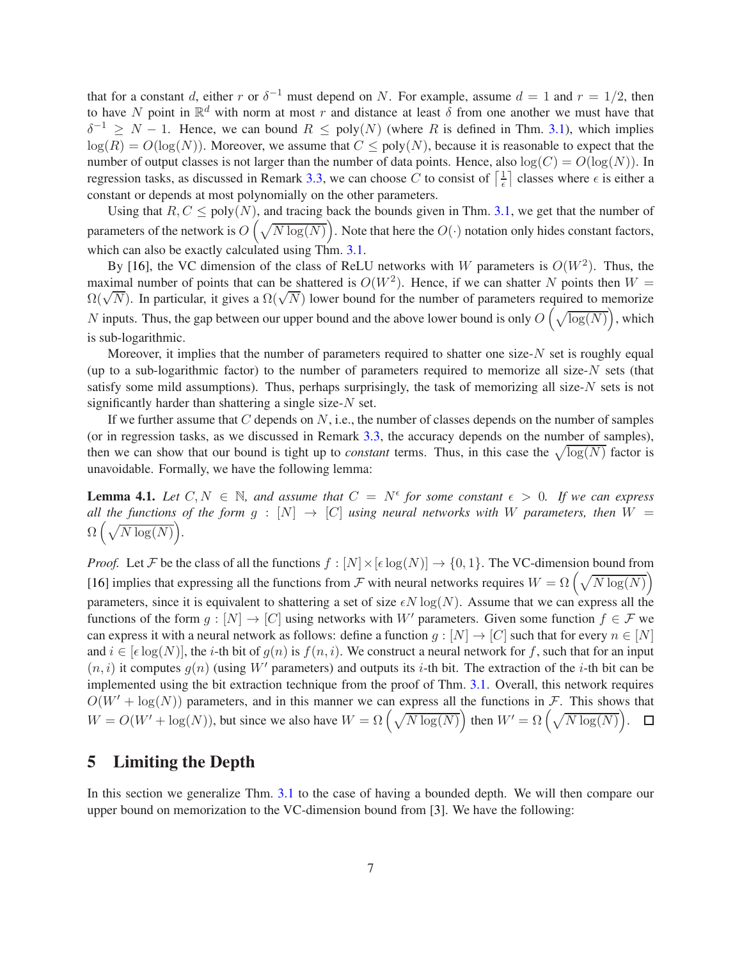that for a constant d, either r or  $\delta^{-1}$  must depend on N. For example, assume  $d = 1$  and  $r = 1/2$ , then to have N point in  $\mathbb{R}^d$  with norm at most r and distance at least  $\delta$  from one another we must have that  $\delta^{-1} \geq N - 1$ . Hence, we can bound  $R \leq \text{poly}(N)$  (where R is defined in Thm. [3.1\)](#page-4-2), which implies  $log(R) = O(log(N))$ . Moreover, we assume that  $C \leq poly(N)$ , because it is reasonable to expect that the number of output classes is not larger than the number of data points. Hence, also  $log(C) = O(log(N))$ . In regression tasks, as discussed in Remark [3.3,](#page-4-0) we can choose C to consist of  $\left[\frac{1}{6}\right]$  $\frac{1}{\epsilon}$  classes where  $\epsilon$  is either a constant or depends at most polynomially on the other parameters.

Using that  $R, C \leq poly(N)$ , and tracing back the bounds given in Thm. [3.1,](#page-4-2) we get that the number of parameters of the network is  $O\left(\sqrt{N\log(N)}\right)$ . Note that here the  $O(\cdot)$  notation only hides constant factors, which can also be exactly calculated using Thm. [3.1.](#page-4-2)

By [\[16\]](#page-10-11), the VC dimension of the class of ReLU networks with W parameters is  $O(W^2)$ . Thus, the maximal number of points that can be shattered is  $O(W^2)$ . Hence, if we can shatter N points then  $W =$  $\Omega(\sqrt{N})$ . In particular, it gives a  $\Omega(\sqrt{N})$  lower bound for the number of parameters required to memorize N inputs. Thus, the gap between our upper bound and the above lower bound is only  $O\left(\sqrt{\log(N)}\right)$ , which is sub-logarithmic.

Moreover, it implies that the number of parameters required to shatter one size- $N$  set is roughly equal (up to a sub-logarithmic factor) to the number of parameters required to memorize all size-N sets (that satisfy some mild assumptions). Thus, perhaps surprisingly, the task of memorizing all size- $N$  sets is not significantly harder than shattering a single size- $N$  set.

If we further assume that  $C$  depends on  $N$ , i.e., the number of classes depends on the number of samples (or in regression tasks, as we discussed in Remark [3.3,](#page-4-0) the accuracy depends on the number of samples), then we can show that our bound is tight up to *constant* terms. Thus, in this case the  $\sqrt{\log(N)}$  factor is unavoidable. Formally, we have the following lemma:

**Lemma 4.1.** Let  $C, N \in \mathbb{N}$ , and assume that  $C = N^{\epsilon}$  for some constant  $\epsilon > 0$ . If we can express *all the functions of the form g* :  $[N] \rightarrow [C]$  *using neural networks with* W *parameters, then* W =  $\Omega\left(\sqrt{N\log(N)}\right)$ .

*Proof.* Let F be the class of all the functions  $f : [N] \times [\epsilon \log(N)] \rightarrow \{0, 1\}$ . The VC-dimension bound from [\[16](#page-10-11)] implies that expressing all the functions from  $\mathcal F$  with neural networks requires  $W = \Omega\left(\sqrt{N\log(N)}\right)$ parameters, since it is equivalent to shattering a set of size  $\epsilon N \log(N)$ . Assume that we can express all the functions of the form  $g: [N] \to [C]$  using networks with W' parameters. Given some function  $f \in \mathcal{F}$  we can express it with a neural network as follows: define a function  $g: [N] \to [C]$  such that for every  $n \in [N]$ and  $i \in [\epsilon \log(N)]$ , the i-th bit of  $g(n)$  is  $f(n, i)$ . We construct a neural network for f, such that for an input  $(n, i)$  it computes  $g(n)$  (using W' parameters) and outputs its i-th bit. The extraction of the i-th bit can be implemented using the bit extraction technique from the proof of Thm. [3.1.](#page-4-2) Overall, this network requires  $O(W' + \log(N))$  parameters, and in this manner we can express all the functions in F. This shows that  $W = O(W' + \log(N))$ , but since we also have  $W = \Omega\left(\sqrt{N \log(N)}\right)$  then  $W' = \Omega\left(\sqrt{N \log(N)}\right)$ .  $\Box$ 

# <span id="page-6-0"></span>5 Limiting the Depth

In this section we generalize Thm. [3.1](#page-4-2) to the case of having a bounded depth. We will then compare our upper bound on memorization to the VC-dimension bound from [\[3\]](#page-9-10). We have the following: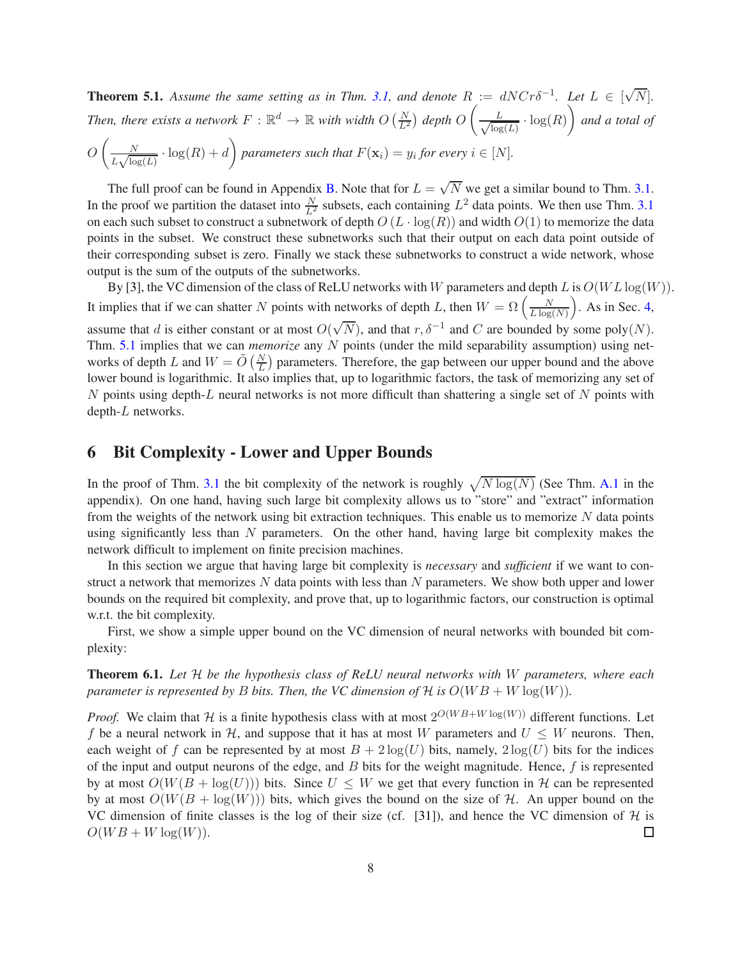<span id="page-7-0"></span>**Theorem 5.1.** Assume the same setting as in Thm. [3.1,](#page-4-2) and denote  $R := dNCr\delta^{-1}$ . Let  $L \in [\sqrt{N}]$ . Then, there exists a network  $F : \mathbb{R}^d \to \mathbb{R}$  with width  $O\left(\frac{N}{L^2}\right)$  depth  $O\left(\frac{N}{L^2}\right)$  $\frac{L}{\sqrt{\log L}}$  $\frac{L}{\log(L)} \cdot \log(R)$  and a total of  $O\left(\frac{N}{I}\right)$  $\frac{N}{L\sqrt{\log(L)}} \cdot \log(R) + d$  parameters such that  $F(\mathbf{x}_i) = y_i$  for every  $i \in [N]$ .

The full proof can be found in Appendix [B.](#page-18-0) Note that for  $L = \sqrt{N}$  we get a similar bound to Thm. [3.1.](#page-4-2) In the proof we partition the dataset into  $\frac{N}{L^2}$  subsets, each containing  $L^2$  data points. We then use Thm. [3.1](#page-4-2) on each such subset to construct a subnetwork of depth  $O(L \cdot \log(R))$  and width  $O(1)$  to memorize the data points in the subset. We construct these subnetworks such that their output on each data point outside of their corresponding subset is zero. Finally we stack these subnetworks to construct a wide network, whose output is the sum of the outputs of the subnetworks.

By [\[3\]](#page-9-10), the VC dimension of the class of ReLU networks with W parameters and depth L is  $O(WL \log(W))$ . It implies that if we can shatter N points with networks of depth L, then  $W = \Omega\left(\frac{N}{L \log n}\right)$  $\frac{N}{L \log(N)}$ . As in Sec. [4,](#page-5-0) assume that d is either constant or at most  $O(\sqrt{N})$ , and that  $r, \delta^{-1}$  and C are bounded by some poly(N). Thm. [5.1](#page-7-0) implies that we can *memorize* any N points (under the mild separability assumption) using networks of depth L and  $W = \tilde{O}(\frac{N}{L})$  parameters. Therefore, the gap between our upper bound and the above lower bound is logarithmic. It also implies that, up to logarithmic factors, the task of memorizing any set of N points using depth-L neural networks is not more difficult than shattering a single set of N points with depth-L networks.

# <span id="page-7-2"></span>6 Bit Complexity - Lower and Upper Bounds

In the proof of Thm. [3.1](#page-4-2) the bit complexity of the network is roughly  $\sqrt{N \log(N)}$  (See Thm. [A.1](#page-11-9) in the appendix). On one hand, having such large bit complexity allows us to "store" and "extract" information from the weights of the network using bit extraction techniques. This enable us to memorize  $N$  data points using significantly less than  $N$  parameters. On the other hand, having large bit complexity makes the network difficult to implement on finite precision machines.

In this section we argue that having large bit complexity is *necessary* and *sufficient* if we want to construct a network that memorizes  $N$  data points with less than  $N$  parameters. We show both upper and lower bounds on the required bit complexity, and prove that, up to logarithmic factors, our construction is optimal w.r.t. the bit complexity.

First, we show a simple upper bound on the VC dimension of neural networks with bounded bit complexity:

<span id="page-7-1"></span>Theorem 6.1. *Let* H *be the hypothesis class of ReLU neural networks with* W *parameters, where each parameter is represented by* B *bits. Then, the VC dimension of* H *is*  $O(WB + W \log(W))$ .

*Proof.* We claim that H is a finite hypothesis class with at most  $2^{O(W B + W \log(W))}$  different functions. Let f be a neural network in H, and suppose that it has at most W parameters and  $U \leq W$  neurons. Then, each weight of f can be represented by at most  $B + 2\log(U)$  bits, namely,  $2\log(U)$  bits for the indices of the input and output neurons of the edge, and  $B$  bits for the weight magnitude. Hence,  $f$  is represented by at most  $O(W(B + \log(U)))$  bits. Since  $U \leq W$  we get that every function in H can be represented by at most  $O(W(B + \log(W)))$  bits, which gives the bound on the size of H. An upper bound on the VC dimension of finite classes is the log of their size (cf. [\[31](#page-10-10)]), and hence the VC dimension of  $\mathcal{H}$  is  $O(WB + W \log(W))$ .  $O(W B + W \log(W)).$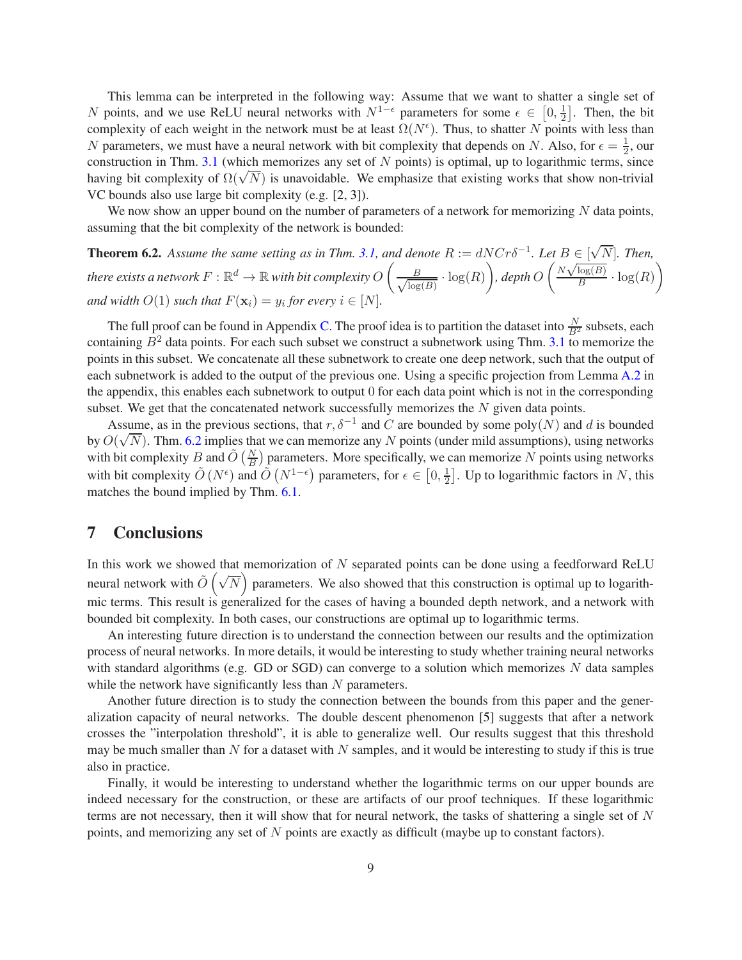This lemma can be interpreted in the following way: Assume that we want to shatter a single set of N points, and we use ReLU neural networks with  $N^{1-\epsilon}$  parameters for some  $\epsilon \in [0, \frac{1}{2}]$  $\frac{1}{2}$ . Then, the bit complexity of each weight in the network must be at least  $\Omega(N^{\epsilon})$ . Thus, to shatter N points with less than N parameters, we must have a neural network with bit complexity that depends on N. Also, for  $\epsilon = \frac{1}{2}$  $\frac{1}{2}$ , our construction in Thm. [3.1](#page-4-2) (which memorizes any set of  $N$  points) is optimal, up to logarithmic terms, since having bit complexity of  $\Omega(\sqrt{N})$  is unavoidable. We emphasize that existing works that show non-trivial VC bounds also use large bit complexity (e.g. [\[2,](#page-9-9) [3\]](#page-9-10)).

We now show an upper bound on the number of parameters of a network for memorizing  $N$  data points, assuming that the bit complexity of the network is bounded:

<span id="page-8-0"></span>**Theorem 6.2.** Assume the same setting as in Thm. [3.1,](#page-4-2) and denote  $R := dNCr\delta^{-1}$ . Let  $B \in [\sqrt{N}]$ . Then, there exists a network  $F: \mathbb{R}^d \rightarrow \mathbb{R}$  with bit complexity  $O\left( \frac{1}{\sqrt{2\pi}} \right)$  $\frac{B}{\sqrt{\log{B}}}$  $\frac{B}{\log(B)} \cdot \log(R)$ , depth  $O\left(\frac{N\sqrt{\log(B)}}{B}\right)$  $\frac{\overline{\log(B)}}{B} \cdot \log(R)$ *and width*  $O(1)$  *such that*  $F(\mathbf{x}_i) = y_i$  *for every*  $i \in [N]$ *.* 

The full proof can be found in Appendix [C.](#page-18-1) The proof idea is to partition the dataset into  $\frac{N}{B^2}$  subsets, each containing  $B^2$  data points. For each such subset we construct a subnetwork using Thm. [3.1](#page-4-2) to memorize the points in this subset. We concatenate all these subnetwork to create one deep network, such that the output of each subnetwork is added to the output of the previous one. Using a specific projection from Lemma [A.2](#page-11-10) in the appendix, this enables each subnetwork to output 0 for each data point which is not in the corresponding subset. We get that the concatenated network successfully memorizes the  $N$  given data points.

Assume, as in the previous sections, that  $r, \delta^{-1}$  and C are bounded by some poly $(N)$  and d is bounded by  $O(\sqrt{N})$ . Thm. [6.2](#page-8-0) implies that we can memorize any N points (under mild assumptions), using networks with bit complexity B and  $\tilde{O}(\frac{N}{B})$  parameters. More specifically, we can memorize N points using networks with bit complexity  $\tilde{O}(N^{\epsilon})$  and  $\tilde{O}(N^{1-\epsilon})$  parameters, for  $\epsilon \in [0, \frac{1}{2})$  $\frac{1}{2}$ . Up to logarithmic factors in N, this matches the bound implied by Thm. [6.1.](#page-7-1)

## 7 Conclusions

In this work we showed that memorization of  $N$  separated points can be done using a feedforward ReLU neural network with  $\tilde{O}(\sqrt{N})$  parameters. We also showed that this construction is optimal up to logarithmic terms. This result is generalized for the cases of having a bounded depth network, and a network with bounded bit complexity. In both cases, our constructions are optimal up to logarithmic terms.

An interesting future direction is to understand the connection between our results and the optimization process of neural networks. In more details, it would be interesting to study whether training neural networks with standard algorithms (e.g. GD or SGD) can converge to a solution which memorizes  $N$  data samples while the network have significantly less than  $N$  parameters.

Another future direction is to study the connection between the bounds from this paper and the generalization capacity of neural networks. The double descent phenomenon [\[5](#page-9-8)] suggests that after a network crosses the "interpolation threshold", it is able to generalize well. Our results suggest that this threshold may be much smaller than  $N$  for a dataset with  $N$  samples, and it would be interesting to study if this is true also in practice.

Finally, it would be interesting to understand whether the logarithmic terms on our upper bounds are indeed necessary for the construction, or these are artifacts of our proof techniques. If these logarithmic terms are not necessary, then it will show that for neural network, the tasks of shattering a single set of N points, and memorizing any set of N points are exactly as difficult (maybe up to constant factors).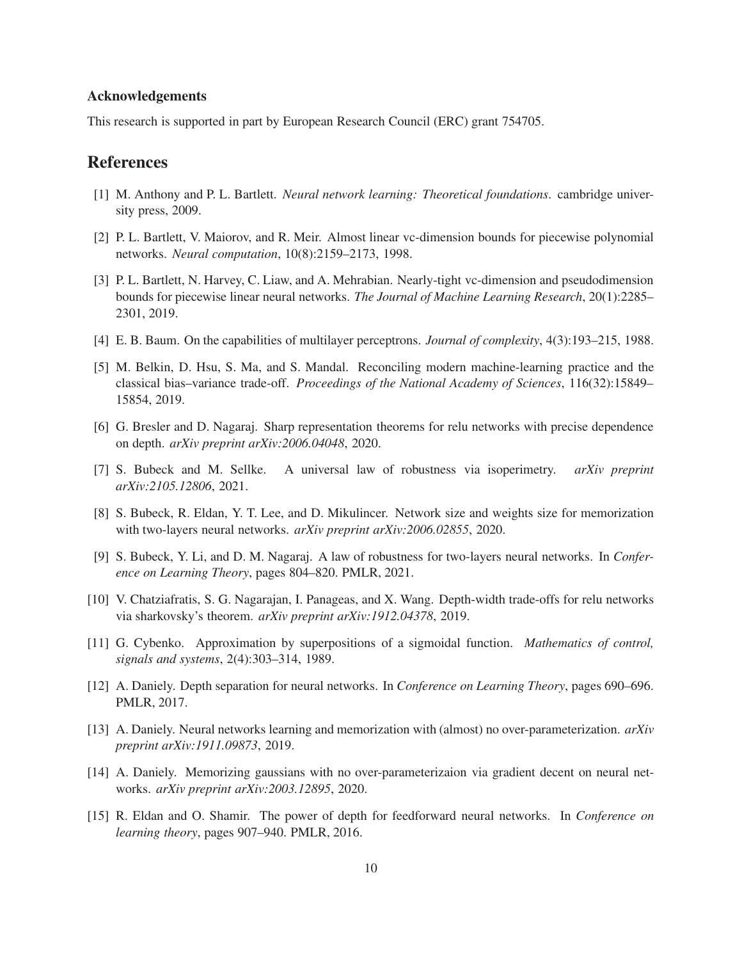### Acknowledgements

This research is supported in part by European Research Council (ERC) grant 754705.

# References

- <span id="page-9-11"></span>[1] M. Anthony and P. L. Bartlett. *Neural network learning: Theoretical foundations*. cambridge university press, 2009.
- <span id="page-9-9"></span>[2] P. L. Bartlett, V. Maiorov, and R. Meir. Almost linear vc-dimension bounds for piecewise polynomial networks. *Neural computation*, 10(8):2159–2173, 1998.
- <span id="page-9-10"></span>[3] P. L. Bartlett, N. Harvey, C. Liaw, and A. Mehrabian. Nearly-tight vc-dimension and pseudodimension bounds for piecewise linear neural networks. *The Journal of Machine Learning Research*, 20(1):2285– 2301, 2019.
- <span id="page-9-4"></span>[4] E. B. Baum. On the capabilities of multilayer perceptrons. *Journal of complexity*, 4(3):193–215, 1988.
- <span id="page-9-8"></span>[5] M. Belkin, D. Hsu, S. Ma, and S. Mandal. Reconciling modern machine-learning practice and the classical bias–variance trade-off. *Proceedings of the National Academy of Sciences*, 116(32):15849– 15854, 2019.
- <span id="page-9-14"></span>[6] G. Bresler and D. Nagaraj. Sharp representation theorems for relu networks with precise dependence on depth. *arXiv preprint arXiv:2006.04048*, 2020.
- <span id="page-9-13"></span>[7] S. Bubeck and M. Sellke. A universal law of robustness via isoperimetry. *arXiv preprint arXiv:2105.12806*, 2021.
- <span id="page-9-7"></span>[8] S. Bubeck, R. Eldan, Y. T. Lee, and D. Mikulincer. Network size and weights size for memorization with two-layers neural networks. *arXiv preprint arXiv:2006.02855*, 2020.
- <span id="page-9-12"></span>[9] S. Bubeck, Y. Li, and D. M. Nagaraj. A law of robustness for two-layers neural networks. In *Conference on Learning Theory*, pages 804–820. PMLR, 2021.
- <span id="page-9-3"></span>[10] V. Chatziafratis, S. G. Nagarajan, I. Panageas, and X. Wang. Depth-width trade-offs for relu networks via sharkovsky's theorem. *arXiv preprint arXiv:1912.04378*, 2019.
- <span id="page-9-0"></span>[11] G. Cybenko. Approximation by superpositions of a sigmoidal function. *Mathematics of control, signals and systems*, 2(4):303–314, 1989.
- <span id="page-9-2"></span>[12] A. Daniely. Depth separation for neural networks. In *Conference on Learning Theory*, pages 690–696. PMLR, 2017.
- <span id="page-9-5"></span>[13] A. Daniely. Neural networks learning and memorization with (almost) no over-parameterization. *arXiv preprint arXiv:1911.09873*, 2019.
- <span id="page-9-6"></span>[14] A. Daniely. Memorizing gaussians with no over-parameterizaion via gradient decent on neural networks. *arXiv preprint arXiv:2003.12895*, 2020.
- <span id="page-9-1"></span>[15] R. Eldan and O. Shamir. The power of depth for feedforward neural networks. In *Conference on learning theory*, pages 907–940. PMLR, 2016.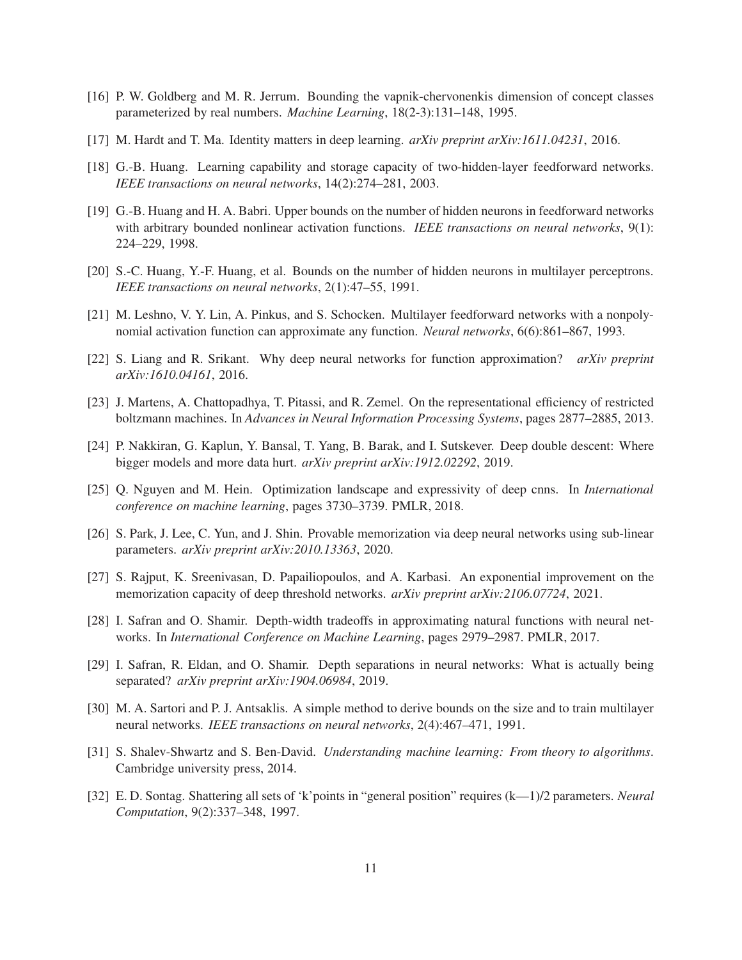- <span id="page-10-11"></span>[16] P. W. Goldberg and M. R. Jerrum. Bounding the vapnik-chervonenkis dimension of concept classes parameterized by real numbers. *Machine Learning*, 18(2-3):131–148, 1995.
- <span id="page-10-5"></span>[17] M. Hardt and T. Ma. Identity matters in deep learning. *arXiv preprint arXiv:1611.04231*, 2016.
- <span id="page-10-3"></span>[18] G.-B. Huang. Learning capability and storage capacity of two-hidden-layer feedforward networks. *IEEE transactions on neural networks*, 14(2):274–281, 2003.
- <span id="page-10-2"></span>[19] G.-B. Huang and H. A. Babri. Upper bounds on the number of hidden neurons in feedforward networks with arbitrary bounded nonlinear activation functions. *IEEE transactions on neural networks*, 9(1): 224–229, 1998.
- <span id="page-10-12"></span>[20] S.-C. Huang, Y.-F. Huang, et al. Bounds on the number of hidden neurons in multilayer perceptrons. *IEEE transactions on neural networks*, 2(1):47–55, 1991.
- <span id="page-10-0"></span>[21] M. Leshno, V. Y. Lin, A. Pinkus, and S. Schocken. Multilayer feedforward networks with a nonpolynomial activation function can approximate any function. *Neural networks*, 6(6):861–867, 1993.
- <span id="page-10-15"></span>[22] S. Liang and R. Srikant. Why deep neural networks for function approximation? *arXiv preprint arXiv:1610.04161*, 2016.
- <span id="page-10-14"></span>[23] J. Martens, A. Chattopadhya, T. Pitassi, and R. Zemel. On the representational efficiency of restricted boltzmann machines. In *Advances in Neural Information Processing Systems*, pages 2877–2885, 2013.
- <span id="page-10-9"></span>[24] P. Nakkiran, G. Kaplun, Y. Bansal, T. Yang, B. Barak, and I. Sutskever. Deep double descent: Where bigger models and more data hurt. *arXiv preprint arXiv:1912.02292*, 2019.
- <span id="page-10-6"></span>[25] Q. Nguyen and M. Hein. Optimization landscape and expressivity of deep cnns. In *International conference on machine learning*, pages 3730–3739. PMLR, 2018.
- <span id="page-10-4"></span>[26] S. Park, J. Lee, C. Yun, and J. Shin. Provable memorization via deep neural networks using sub-linear parameters. *arXiv preprint arXiv:2010.13363*, 2020.
- <span id="page-10-7"></span>[27] S. Rajput, K. Sreenivasan, D. Papailiopoulos, and A. Karbasi. An exponential improvement on the memorization capacity of deep threshold networks. *arXiv preprint arXiv:2106.07724*, 2021.
- <span id="page-10-1"></span>[28] I. Safran and O. Shamir. Depth-width tradeoffs in approximating natural functions with neural networks. In *International Conference on Machine Learning*, pages 2979–2987. PMLR, 2017.
- <span id="page-10-16"></span>[29] I. Safran, R. Eldan, and O. Shamir. Depth separations in neural networks: What is actually being separated? *arXiv preprint arXiv:1904.06984*, 2019.
- <span id="page-10-13"></span>[30] M. A. Sartori and P. J. Antsaklis. A simple method to derive bounds on the size and to train multilayer neural networks. *IEEE transactions on neural networks*, 2(4):467–471, 1991.
- <span id="page-10-10"></span>[31] S. Shalev-Shwartz and S. Ben-David. *Understanding machine learning: From theory to algorithms*. Cambridge university press, 2014.
- <span id="page-10-8"></span>[32] E. D. Sontag. Shattering all sets of 'k'points in "general position" requires (k—1)/2 parameters. *Neural Computation*, 9(2):337–348, 1997.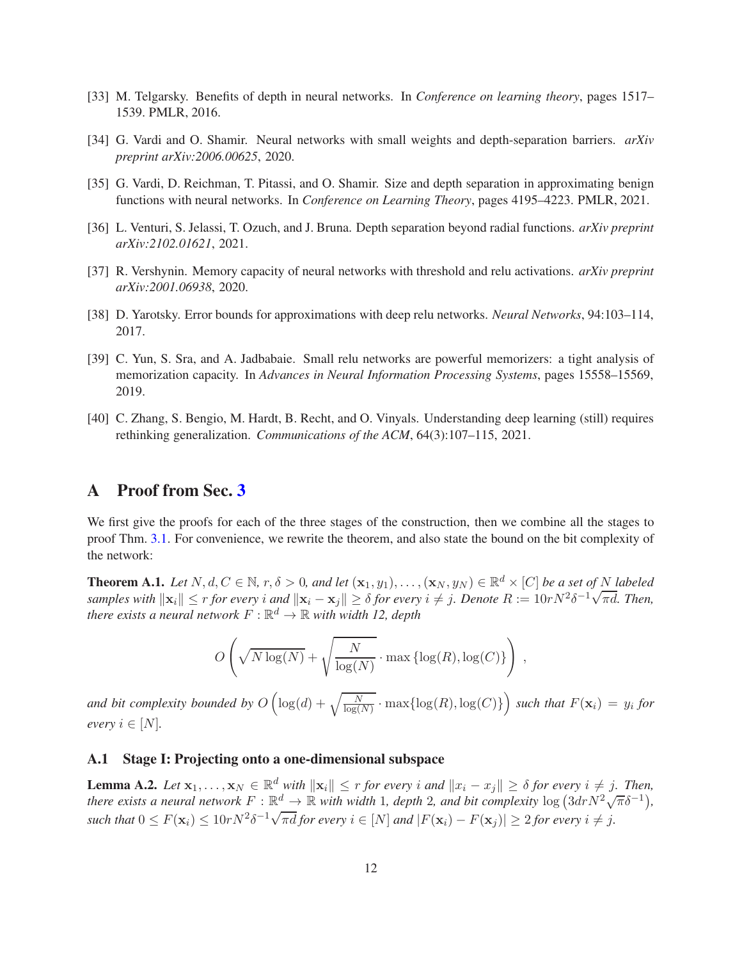- <span id="page-11-0"></span>[33] M. Telgarsky. Benefits of depth in neural networks. In *Conference on learning theory*, pages 1517– 1539. PMLR, 2016.
- <span id="page-11-5"></span>[34] G. Vardi and O. Shamir. Neural networks with small weights and depth-separation barriers. *arXiv preprint arXiv:2006.00625*, 2020.
- <span id="page-11-7"></span>[35] G. Vardi, D. Reichman, T. Pitassi, and O. Shamir. Size and depth separation in approximating benign functions with neural networks. In *Conference on Learning Theory*, pages 4195–4223. PMLR, 2021.
- <span id="page-11-6"></span>[36] L. Venturi, S. Jelassi, T. Ozuch, and J. Bruna. Depth separation beyond radial functions. *arXiv preprint arXiv:2102.01621*, 2021.
- <span id="page-11-1"></span>[37] R. Vershynin. Memory capacity of neural networks with threshold and relu activations. *arXiv preprint arXiv:2001.06938*, 2020.
- <span id="page-11-4"></span>[38] D. Yarotsky. Error bounds for approximations with deep relu networks. *Neural Networks*, 94:103–114, 2017.
- <span id="page-11-2"></span>[39] C. Yun, S. Sra, and A. Jadbabaie. Small relu networks are powerful memorizers: a tight analysis of memorization capacity. In *Advances in Neural Information Processing Systems*, pages 15558–15569, 2019.
- <span id="page-11-3"></span>[40] C. Zhang, S. Bengio, M. Hardt, B. Recht, and O. Vinyals. Understanding deep learning (still) requires rethinking generalization. *Communications of the ACM*, 64(3):107–115, 2021.

## <span id="page-11-8"></span>A Proof from Sec. [3](#page-4-3)

We first give the proofs for each of the three stages of the construction, then we combine all the stages to proof Thm. [3.1.](#page-4-2) For convenience, we rewrite the theorem, and also state the bound on the bit complexity of the network:

<span id="page-11-9"></span>**Theorem A.1.** *Let*  $N, d, C \in \mathbb{N}$ ,  $r, \delta > 0$ , and let  $(\mathbf{x}_1, y_1), \ldots, (\mathbf{x}_N, y_N) \in \mathbb{R}^d \times [C]$  be a set of N labeled *samples with*  $\|\mathbf{x}_i\| \le r$  *for every i and*  $\|\mathbf{x}_i - \mathbf{x}_j\| \ge \delta$  *for every*  $i \ne j$ . Denote  $R := 10rN^2\delta^{-1}\sqrt{\pi d}$ . Then, there exists a neural network  $F:\mathbb{R}^d \to \mathbb{R}$  with width 12, depth

$$
O\left(\sqrt{N\log(N)} + \sqrt{\frac{N}{\log(N)}} \cdot \max\left\{\log(R), \log(C)\right\}\right),\,
$$

and bit complexity bounded by  $O\left(\log(d) + \sqrt{\frac{N}{\log(N)}} \cdot \max\{\log(R), \log(C)\}\right)$  such that  $F(\mathbf{x}_i) = y_i$  for *every*  $i \in [N]$ *.* 

## A.1 Stage I: Projecting onto a one-dimensional subspace

<span id="page-11-10"></span>**Lemma A.2.** *Let*  $\mathbf{x}_1, \ldots, \mathbf{x}_N \in \mathbb{R}^d$  *with*  $\|\mathbf{x}_i\| \leq r$  *for every i* and  $\|x_i - x_j\| \geq \delta$  *for every*  $i \neq j$ . *Then, there exists a neural network*  $F: \mathbb{R}^d \to \mathbb{R}$  *with width* 1*, depth* 2*, and bit complexity* log  $(3drN^2\sqrt{\pi}\delta^{-1})$ *,*  $\textit{such that } 0 \leq F(\mathbf{x}_i) \leq 10rN^2\delta^{-1}\sqrt{\pi d}$  *for every*  $i \in [N]$  and  $|F(\mathbf{x}_i) - F(\mathbf{x}_j)| \geq 2$  *for every*  $i \neq j$ .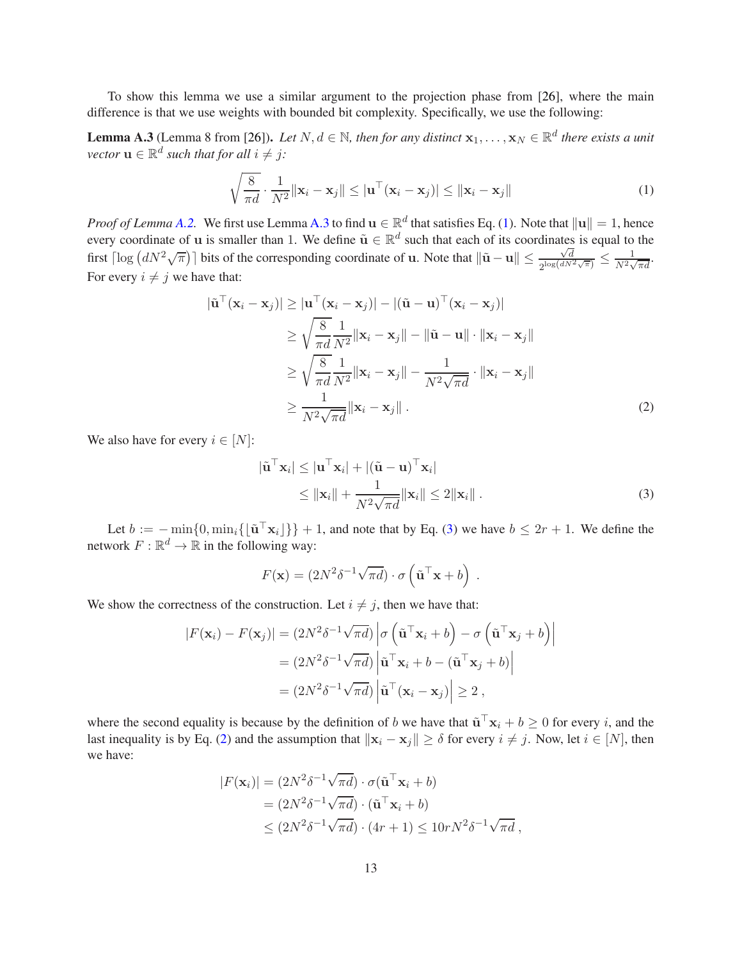To show this lemma we use a similar argument to the projection phase from [\[26](#page-10-4)], where the main difference is that we use weights with bounded bit complexity. Specifically, we use the following:

<span id="page-12-0"></span>**Lemma A.3** (Lemma 8 from [\[26\]](#page-10-4)). *Let*  $N, d \in \mathbb{N}$ , then for any distinct  $\mathbf{x}_1, \dots, \mathbf{x}_N \in \mathbb{R}^d$  there exists a unit *vector*  $\mathbf{u} \in \mathbb{R}^d$  *such that for all*  $i \neq j$ *:* 

<span id="page-12-1"></span>
$$
\sqrt{\frac{8}{\pi d}} \cdot \frac{1}{N^2} ||\mathbf{x}_i - \mathbf{x}_j|| \le ||\mathbf{u}^\top (\mathbf{x}_i - \mathbf{x}_j)|| \le ||\mathbf{x}_i - \mathbf{x}_j|| \tag{1}
$$

*Proof of Lemma* [A.2.](#page-11-10) We first use Lemma [A.3](#page-12-0) to find  $\mathbf{u} \in \mathbb{R}^d$  that satisfies Eq. [\(1\)](#page-12-1). Note that  $\|\mathbf{u}\| = 1$ , hence every coordinate of u is smaller than 1. We define  $\tilde{u} \in \mathbb{R}^d$  such that each of its coordinates is equal to the first  $\lceil \log \left( dN^2 \sqrt{\pi} \right) \rceil$  bits of the corresponding coordinate of u. Note that  $\lVert \tilde{\mathbf{u}} - \mathbf{u} \rVert \leq \frac{\sqrt{d}}{2^{\log(dN)}}$  $\frac{\sqrt{d}}{2^{\log(dN^2\sqrt{\pi})}} \leq \frac{1}{N^2\sqrt{d}}$  $\frac{1}{N^2\sqrt{\pi d}}$ . For every  $i \neq j$  we have that:

$$
|\tilde{\mathbf{u}}^{\top}(\mathbf{x}_{i} - \mathbf{x}_{j})| \geq |\mathbf{u}^{\top}(\mathbf{x}_{i} - \mathbf{x}_{j})| - |(\tilde{\mathbf{u}} - \mathbf{u})^{\top}(\mathbf{x}_{i} - \mathbf{x}_{j})|
$$
  
\n
$$
\geq \sqrt{\frac{8}{\pi d}} \frac{1}{N^{2}} ||\mathbf{x}_{i} - \mathbf{x}_{j}|| - ||\tilde{\mathbf{u}} - \mathbf{u}|| \cdot ||\mathbf{x}_{i} - \mathbf{x}_{j}||
$$
  
\n
$$
\geq \sqrt{\frac{8}{\pi d}} \frac{1}{N^{2}} ||\mathbf{x}_{i} - \mathbf{x}_{j}|| - \frac{1}{N^{2} \sqrt{\pi d}} \cdot ||\mathbf{x}_{i} - \mathbf{x}_{j}||
$$
  
\n
$$
\geq \frac{1}{N^{2} \sqrt{\pi d}} ||\mathbf{x}_{i} - \mathbf{x}_{j}||.
$$
 (2)

We also have for every  $i \in [N]$ :

<span id="page-12-3"></span><span id="page-12-2"></span>
$$
|\tilde{\mathbf{u}}^{\top} \mathbf{x}_i| \leq |\mathbf{u}^{\top} \mathbf{x}_i| + |(\tilde{\mathbf{u}} - \mathbf{u})^{\top} \mathbf{x}_i|
$$
  
\n
$$
\leq ||\mathbf{x}_i|| + \frac{1}{N^2 \sqrt{\pi d}} ||\mathbf{x}_i|| \leq 2 ||\mathbf{x}_i||.
$$
 (3)

Let  $b := -\min\{0, \min_i\{\lfloor \tilde{\mathbf{u}}^\top \mathbf{x}_i\rfloor\}\} + 1$ , and note that by Eq. [\(3\)](#page-12-2) we have  $b \leq 2r + 1$ . We define the network  $F: \mathbb{R}^d \to \mathbb{R}$  in the following way:

$$
F(\mathbf{x}) = (2N^2 \delta^{-1} \sqrt{\pi d}) \cdot \sigma \left(\tilde{\mathbf{u}}^\top \mathbf{x} + b\right) .
$$

We show the correctness of the construction. Let  $i \neq j$ , then we have that:

$$
|F(\mathbf{x}_i) - F(\mathbf{x}_j)| = (2N^2 \delta^{-1} \sqrt{\pi d}) \left| \sigma \left( \tilde{\mathbf{u}}^\top \mathbf{x}_i + b \right) - \sigma \left( \tilde{\mathbf{u}}^\top \mathbf{x}_j + b \right) \right|
$$
  
=  $(2N^2 \delta^{-1} \sqrt{\pi d}) \left| \tilde{\mathbf{u}}^\top \mathbf{x}_i + b - (\tilde{\mathbf{u}}^\top \mathbf{x}_j + b) \right|$   
=  $(2N^2 \delta^{-1} \sqrt{\pi d}) \left| \tilde{\mathbf{u}}^\top (\mathbf{x}_i - \mathbf{x}_j) \right| \ge 2$ ,

where the second equality is because by the definition of b we have that  $\tilde{\mathbf{u}}^{\top}\mathbf{x}_i + b \geq 0$  for every i, and the last inequality is by Eq. [\(2\)](#page-12-3) and the assumption that  $||\mathbf{x}_i - \mathbf{x}_j|| \ge \delta$  for every  $i \ne j$ . Now, let  $i \in [N]$ , then we have:

$$
|F(\mathbf{x}_i)| = (2N^2 \delta^{-1} \sqrt{\pi d}) \cdot \sigma(\tilde{\mathbf{u}}^\top \mathbf{x}_i + b)
$$
  
=  $(2N^2 \delta^{-1} \sqrt{\pi d}) \cdot (\tilde{\mathbf{u}}^\top \mathbf{x}_i + b)$   
 $\leq (2N^2 \delta^{-1} \sqrt{\pi d}) \cdot (4r + 1) \leq 10rN^2 \delta^{-1} \sqrt{\pi d},$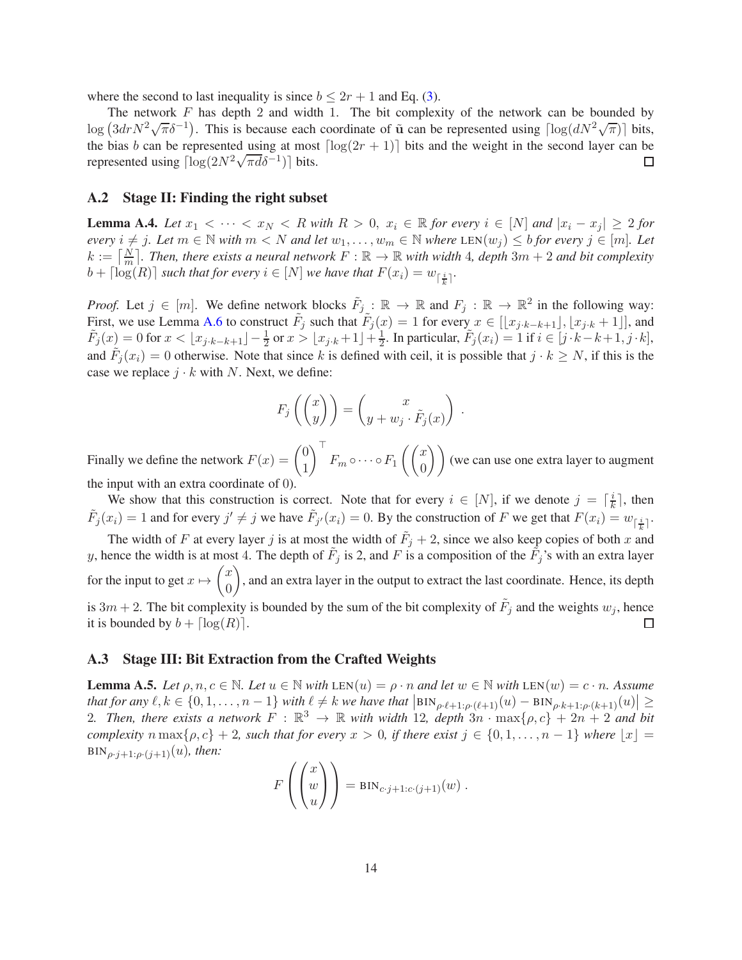where the second to last inequality is since  $b \leq 2r + 1$  and Eq. [\(3\)](#page-12-2).

The network  $F$  has depth 2 and width 1. The bit complexity of the network can be bounded by  $\log (3dr N^2 \sqrt{\pi} \delta^{-1})$ . This is because each coordinate of  $\tilde{u}$  can be represented using  $\lceil \log (dN^2 \sqrt{\pi}) \rceil$  bits, the bias b can be represented using at most  $\lceil \log(2r + 1) \rceil$  bits and the weight in the second layer can be represented using  $\lceil \log(2N^2 \sqrt{\pi d} \delta^{-1}) \rceil$  bits. represented using  $\left[ \log(2N^2 \sqrt{\pi d} \delta^{-1}) \right]$  bits.

#### A.2 Stage II: Finding the right subset

<span id="page-13-0"></span>**Lemma A.4.** Let  $x_1 < \cdots < x_N < R$  with  $R > 0$ ,  $x_i \in \mathbb{R}$  for every  $i \in [N]$  and  $|x_i - x_j| \geq 2$  for *every*  $i \neq j$ *. Let*  $m \in \mathbb{N}$  *with*  $m < N$  *and let*  $w_1, \ldots, w_m \in \mathbb{N}$  *where* LEN $(w_j) \leq b$  *for every*  $j \in [m]$ *. Let*  $k := \left[\frac{N}{m}\right]$ . Then, there exists a neural network  $F : \mathbb{R} \to \mathbb{R}$  with width 4, depth  $3m + 2$  and bit complexity  $b + \lceil log(R) \rceil$  *such that for every*  $i \in [N]$  *we have that*  $F(x_i) = w_{\lceil \frac{i}{k} \rceil}$ .

*Proof.* Let  $j \in [m]$ . We define network blocks  $\tilde{F}_{j}$ :  $\mathbb{R} \to \mathbb{R}$  and  $F_j : \mathbb{R} \to \mathbb{R}^2$  in the following way: First, we use Lemma [A.6](#page-16-0) to construct  $\tilde{F}_j$  such that  $\tilde{F}_j(x) = 1$  for every  $x \in [[x_{j \cdot k-k+1}], [x_{j \cdot k} + 1]]$ , and  $\tilde{F}_j(x) = 0$  for  $x < \lfloor x_{j \cdot k - k + 1} \rfloor - \frac{1}{2}$  or  $x > \lfloor x_{j \cdot k} + 1 \rfloor + \frac{1}{2}$  $\frac{1}{2}$ . In particular,  $\tilde{F}_j(x_i) = 1$  if  $i \in [j \cdot k - k + 1, j \cdot k]$ , and  $\tilde{F}_j(x_i) = 0$  otherwise. Note that since k is defined with ceil, it is possible that  $j \cdot k \ge N$ , if this is the case we replace  $j \cdot k$  with N. Next, we define:

$$
F_j\left(\begin{pmatrix}x\\y\end{pmatrix}\right) = \begin{pmatrix}x\\y+w_j\cdot\tilde{F}_j(x)\end{pmatrix}.
$$

Finally we define the network  $F(x) = \begin{pmatrix} 0 & 0 \\ 1 & 1 \end{pmatrix}$ 1 <sup>⊤</sup>  $F_m \circ \cdots \circ F_1 \left( \begin{pmatrix} x \\ 0 \end{pmatrix} \right)$  $\begin{pmatrix} x \ 0 \end{pmatrix}$  (we can use one extra layer to augment the input with an extra coordinate of 0).

We show that this construction is correct. Note that for every  $i \in [N]$ , if we denote  $j = \lceil \frac{i}{k} \rceil$  $\frac{i}{k}$ , then  $\tilde{F}_j(x_i) = 1$  and for every  $j' \neq j$  we have  $\tilde{F}_{j'}(x_i) = 0$ . By the construction of F we get that  $F(x_i) = w_{\lceil \frac{i}{k} \rceil}$ . The width of F at every layer j is at most the width of  $\tilde{F}_j + 2$ , since we also keep copies of both x and y, hence the width is at most 4. The depth of  $F_j$  is 2, and F is a composition of the  $F_j$ 's with an extra layer for the input to get  $x \mapsto \begin{pmatrix} x \\ 0 \end{pmatrix}$ ), and an extra layer in the output to extract the last coordinate. Hence, its depth  $\overline{0}$ is  $3m + 2$ . The bit complexity is bounded by the sum of the bit complexity of  $F_j$  and the weights  $w_j$ , hence it is bounded by  $b + \lceil log(R) \rceil$ . □

#### A.3 Stage III: Bit Extraction from the Crafted Weights

<span id="page-13-1"></span>**Lemma A.5.** *Let*  $\rho, n, c \in \mathbb{N}$ . *Let*  $u \in \mathbb{N}$  *with* LEN $(u) = \rho \cdot n$  *and let*  $w \in \mathbb{N}$  *with* LEN $(w) = c \cdot n$ . Assume  $\text{that for any } \ell, k \in \{0, 1, \ldots, n-1\} \text{ with } \ell \neq k \text{ we have that } \left| \text{BIN}_{\rho \cdot \ell+1, \rho \cdot (\ell+1)}(u) - \text{BIN}_{\rho \cdot k+1, \rho \cdot (k+1)}(u) \right| \geq \epsilon$ 2. Then, there exists a network  $F : \mathbb{R}^3 \to \mathbb{R}$  with width 12, depth  $3n \cdot \max\{\rho, c\} + 2n + 2$  and bit *complexity*  $n \max\{\rho, c\} + 2$ *, such that for every*  $x > 0$ *, if there exist*  $j \in \{0, 1, \ldots, n-1\}$  *where*  $|x| =$  $\text{BIN}_{\rho \cdot i+1:\rho \cdot (i+1)}(u)$ *, then:* 

$$
F\left(\begin{pmatrix}x\\w\\u\end{pmatrix}\right) = \text{BIN}_{c\cdot j+1:c\cdot(j+1)}(w) .
$$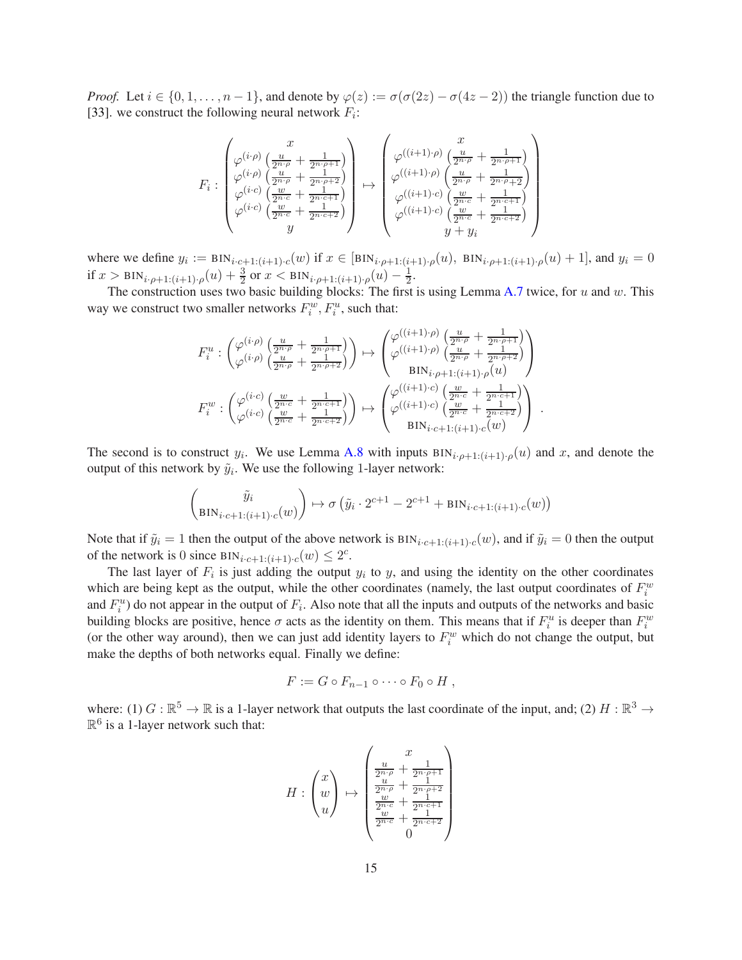*Proof.* Let  $i \in \{0, 1, \ldots, n-1\}$ , and denote by  $\varphi(z) := \sigma(\sigma(2z) - \sigma(4z - 2))$  the triangle function due to [\[33](#page-11-0)]. we construct the following neural network  $F_i$ :

$$
F_i : \begin{pmatrix} x \\ \varphi^{(i \cdot \rho)} \left( \frac{u}{2^{n \cdot \rho}} + \frac{1}{2^{n \cdot \rho + 1}} \right) \\ \varphi^{(i \cdot \rho)} \left( \frac{u}{2^{n \cdot \rho}} + \frac{1}{2^{n \cdot \rho + 2}} \right) \\ \varphi^{(i \cdot c)} \left( \frac{w}{2^{n \cdot c}} + \frac{1}{2^{n \cdot c + 1}} \right) \\ \varphi^{(i \cdot c)} \left( \frac{w}{2^{n \cdot c}} + \frac{1}{2^{n \cdot c + 1}} \right) \\ y \end{pmatrix} \mapsto \begin{pmatrix} x \\ \varphi^{((i+1) \cdot \rho)} \left( \frac{u}{2^{n \cdot \rho}} + \frac{1}{2^{n \cdot \rho + 1}} \right) \\ \varphi^{((i+1) \cdot c)} \left( \frac{u}{2^{n \cdot c}} + \frac{1}{2^{n \cdot c + 1}} \right) \\ \varphi^{((i+1) \cdot c)} \left( \frac{w}{2^{n \cdot c}} + \frac{1}{2^{n \cdot c + 2}} \right) \\ y + y_i \end{pmatrix}
$$

where we define  $y_i := \text{BIN}_{i \cdot c_1+1:(i+1)\cdot c}(w)$  if  $x \in [\text{BIN}_{i \cdot \rho+1:(i+1)\cdot \rho}(u), \text{ BIN}_{i \cdot \rho+1:(i+1)\cdot \rho}(u) + 1]$ , and  $y_i = 0$ if  $x > \text{BIN}_{i \cdot \rho+1:(i+1) \cdot \rho}(u) + \frac{3}{2}$  or  $x < \text{BIN}_{i \cdot \rho+1:(i+1) \cdot \rho}(u) - \frac{1}{2}$  $\frac{1}{2}$ .

The construction uses two basic building blocks: The first is using Lemma [A.7](#page-17-0) twice, for  $u$  and  $w$ . This way we construct two smaller networks  $F_i^w$ ,  $F_i^u$ , such that:

$$
F_i^u: \begin{pmatrix} \varphi^{(i\cdot\rho)}\left(\frac{u}{2^{n\cdot\rho}}+\frac{1}{2^{n\cdot\rho+1}}\right) \\ \varphi^{(i\cdot\rho)}\left(\frac{u}{2^{n\cdot\rho}}+\frac{1}{2^{n\cdot\rho+2}}\right) \end{pmatrix} \mapsto \begin{pmatrix} \varphi^{((i+1)\cdot\rho)}\left(\frac{u}{2^{n\cdot\rho}}+\frac{1}{2^{n\cdot\rho+1}}\right) \\ \varphi^{((i+1)\cdot\rho)}\left(\frac{u}{2^{n\cdot\rho}}+\frac{1}{2^{n\cdot\rho+2}}\right) \\ \text{BIN}_{i\cdot\rho+1:(i+1)\cdot\rho}(u) \end{pmatrix}
$$

$$
F_i^w: \begin{pmatrix} \varphi^{(i\cdot c)}\left(\frac{w}{2^{n\cdot c}}+\frac{1}{2^{n\cdot\rho+1}}\right) \\ \varphi^{(i\cdot c)}\left(\frac{w}{2^{n\cdot c}}+\frac{1}{2^{n\cdot c+2}}\right) \end{pmatrix} \mapsto \begin{pmatrix} \varphi^{((i+1)\cdot c)}\left(\frac{u}{2^{n\cdot c}}+\frac{1}{2^{n\cdot c+1}}\right) \\ \varphi^{((i+1)\cdot c)}\left(\frac{w}{2^{n\cdot c}}+\frac{1}{2^{n\cdot c+2}}\right) \\ \text{BIN}_{i\cdot c+1:(i+1)\cdot c}(w) \end{pmatrix}.
$$

The second is to construct  $y_i$ . We use Lemma [A.8](#page-17-1) with inputs  $BN_{i\cdot\rho+1:(i+1)\cdot\rho}(u)$  and x, and denote the output of this network by  $\tilde{y}_i$ . We use the following 1-layer network:

$$
\begin{pmatrix} \tilde{y}_i \\ \text{BIN}_{i \cdot c + 1: (i+1) \cdot c}(w) \end{pmatrix} \mapsto \sigma \left( \tilde{y}_i \cdot 2^{c+1} - 2^{c+1} + \text{BIN}_{i \cdot c + 1: (i+1) \cdot c}(w) \right)
$$

Note that if  $\tilde{y}_i = 1$  then the output of the above network is  $\text{BIN}_{i \cdot c+1:(i+1)\cdot c}(w)$ , and if  $\tilde{y}_i = 0$  then the output of the network is 0 since  $\text{BIN}_{i \cdot c+1:(i+1)\cdot c}(w) \leq 2^c$ .

The last layer of  $F_i$  is just adding the output  $y_i$  to  $y$ , and using the identity on the other coordinates which are being kept as the output, while the other coordinates (namely, the last output coordinates of  $F_i^w$ and  $F_i^u$ ) do not appear in the output of  $F_i$ . Also note that all the inputs and outputs of the networks and basic building blocks are positive, hence  $\sigma$  acts as the identity on them. This means that if  $F_i^u$  is deeper than  $F_i^w$ (or the other way around), then we can just add identity layers to  $F_i^w$  which do not change the output, but make the depths of both networks equal. Finally we define:

$$
F := G \circ F_{n-1} \circ \cdots \circ F_0 \circ H ,
$$

where: (1)  $G : \mathbb{R}^5 \to \mathbb{R}$  is a 1-layer network that outputs the last coordinate of the input, and; (2)  $H : \mathbb{R}^3 \to$  $\mathbb{R}^6$  is a 1-layer network such that:

$$
H: \begin{pmatrix} x \\ w \\ u \end{pmatrix} \mapsto \begin{pmatrix} x \\ \frac{2n}{2n}p + \frac{1}{2n^2p+1} \\ \frac{u}{2n}p + \frac{1}{2n^2p+2} \\ \frac{w}{2n}p + \frac{1}{2n^2p+1} \\ \frac{w}{2n}p + \frac{1}{2n^2p+2} \\ 0 \end{pmatrix}
$$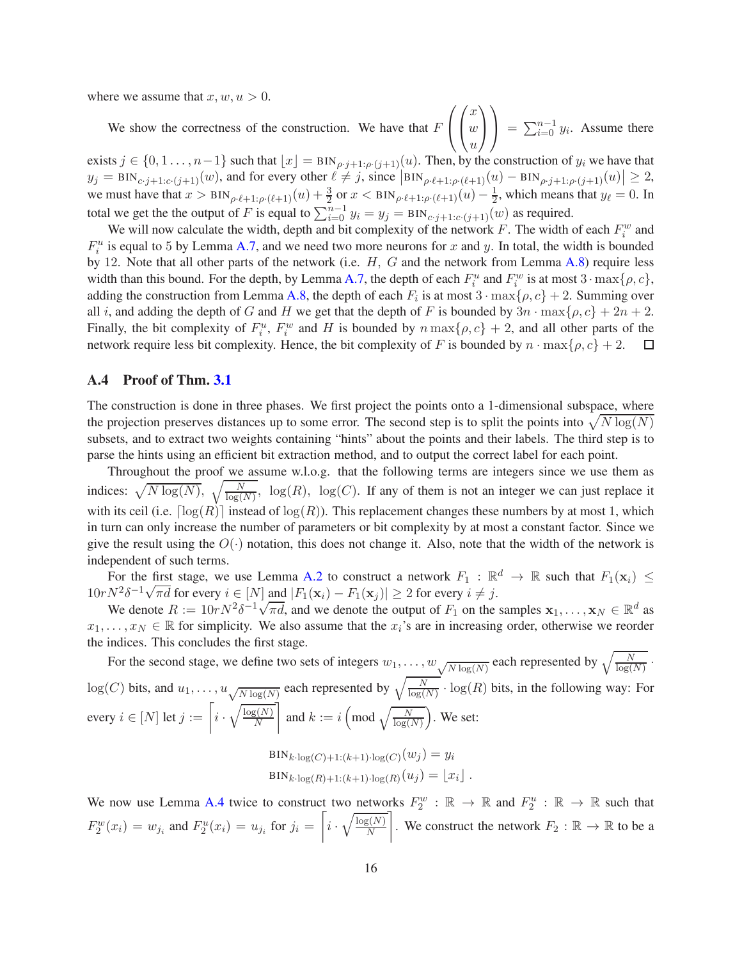where we assume that  $x, w, u > 0$ .

We show the correctness of the construction. We have that  $F$  $\sqrt{ }$  $\mathcal{L}$  $\sqrt{ }$  $\mathcal{L}$  $\overline{x}$  $\omega$  $\overline{u}$  $\setminus$  $\overline{1}$  $\setminus$  $\Big| = \sum_{i=0}^{n-1} y_i$ . Assume there

exists  $j \in \{0, 1, ..., n-1\}$  such that  $\lfloor x \rfloor = \text{BIN}_{\rho \cdot j+1:\rho \cdot (j+1)}(u)$ . Then, by the construction of  $y_i$  we have that  $y_j = \text{BIN}_{c \cdot j+1:c \cdot (j+1)}(w)$ , and for every other  $\ell \neq j$ , since  $\left| \text{BIN}_{\rho \cdot \ell+1:\rho \cdot (\ell+1)}(u) - \text{BIN}_{\rho \cdot j+1:\rho \cdot (j+1)}(u) \right| \geq 2$ , we must have that  $x > \text{BIN}_{\rho \cdot \ell+1:\rho \cdot (\ell+1)}(u) + \frac{3}{2}$  or  $x < \text{BIN}_{\rho \cdot \ell+1:\rho \cdot (\ell+1)}(u) - \frac{1}{2}$ , which means that  $y_{\ell} = 0$ . In total we get the the output of F is equal to  $\sum_{i=0}^{n-1} y_i = y_j = \text{BIN}_{c \cdot j+1:c \cdot (j+1)}(w)$  as required.

We will now calculate the width, depth and bit complexity of the network F. The width of each  $F_i^w$  and  $F_i^u$  is equal to 5 by Lemma [A.7,](#page-17-0) and we need two more neurons for x and y. In total, the width is bounded by 12. Note that all other parts of the network (i.e. H, G and the network from Lemma [A.8\)](#page-17-1) require less width than this bound. For the depth, by Lemma [A.7,](#page-17-0) the depth of each  $F_i^u$  and  $F_i^w$  is at most  $3 \cdot \max\{\rho, c\}$ , adding the construction from Lemma [A.8,](#page-17-1) the depth of each  $F_i$  is at most  $3 \cdot \max\{\rho, c\} + 2$ . Summing over all i, and adding the depth of G and H we get that the depth of F is bounded by  $3n \cdot \max\{\rho, c\} + 2n + 2$ . Finally, the bit complexity of  $F_i^u$ ,  $F_i^w$  and H is bounded by  $n \max\{\rho, c\} + 2$ , and all other parts of the network require less bit complexity. Hence, the bit complexity of F is bounded by  $n \cdot \max\{\rho, c\} + 2$ .  $\Box$ 

#### A.4 Proof of Thm. [3.1](#page-4-2)

The construction is done in three phases. We first project the points onto a 1-dimensional subspace, where the projection preserves distances up to some error. The second step is to split the points into  $\sqrt{N \log(N)}$ subsets, and to extract two weights containing "hints" about the points and their labels. The third step is to parse the hints using an efficient bit extraction method, and to output the correct label for each point.

Throughout the proof we assume w.l.o.g. that the following terms are integers since we use them as indices:  $\sqrt{N \log(N)}$ ,  $\sqrt{\frac{N}{\log(N)}}$ ,  $\log(R)$ ,  $\log(C)$ . If any of them is not an integer we can just replace it with its ceil (i.e.  $\lceil \log(R) \rceil$  instead of  $\log(R)$ ). This replacement changes these numbers by at most 1, which in turn can only increase the number of parameters or bit complexity by at most a constant factor. Since we give the result using the  $O(·)$  notation, this does not change it. Also, note that the width of the network is independent of such terms.

For the first stage, we use Lemma [A.2](#page-11-10) to construct a network  $F_1 : \mathbb{R}^d \to \mathbb{R}$  such that  $F_1(\mathbf{x}_i) \leq$  $10rN^2\delta^{-1}\sqrt{\pi d}$  for every  $i \in [N]$  and  $|F_1(\mathbf{x}_i) - F_1(\mathbf{x}_j)| \ge 2$  for every  $i \ne j$ .

We denote  $R := 10rN^2\delta^{-1}\sqrt{\pi d}$ , and we denote the output of  $F_1$  on the samples  $\mathbf{x}_1, \dots, \mathbf{x}_N \in \mathbb{R}^d$  as  $x_1, \ldots, x_N \in \mathbb{R}$  for simplicity. We also assume that the  $x_i$ 's are in increasing order, otherwise we reorder the indices. This concludes the first stage.

For the second stage, we define two sets of integers  $w_1, \ldots, w_{\sqrt{N \log(N)}}$  each represented by  $\sqrt{\frac{N}{\log(N)}}$ .  $\log(C)$  bits, and  $u_1, \ldots, u_{\sqrt{N \log(N)}}$  each represented by  $\sqrt{\frac{N}{\log(N)}} \cdot \log(R)$  bits, in the following way: For every  $i \in [N]$  let  $j := \left\lceil i \cdot \sqrt{\frac{\log(N)}{N}} \right\rceil$ N and  $k := i \left( \text{mod } \sqrt{\frac{N}{\log(N)}} \right)$ . We set:  $\text{BIN}_{k\cdot \log(C)+1:(k+1)\cdot \log(C)}(w_j) = y_i$  $\text{BIN}_{k\cdot \log(R)+1:(k+1)\cdot \log(R)}(u_j) = \lfloor x_i \rfloor$ .

We now use Lemma [A.4](#page-13-0) twice to construct two networks  $F_2^w : \mathbb{R} \to \mathbb{R}$  and  $F_2^u : \mathbb{R} \to \mathbb{R}$  such that  $F_2^w(x_i) = w_{j_i}$  and  $F_2^u(x_i) = u_{j_i}$  for  $j_i = \left[ i \cdot \sqrt{\frac{\log(N)}{N}} \right]$ N . We construct the network  $F_2 : \mathbb{R} \to \mathbb{R}$  to be a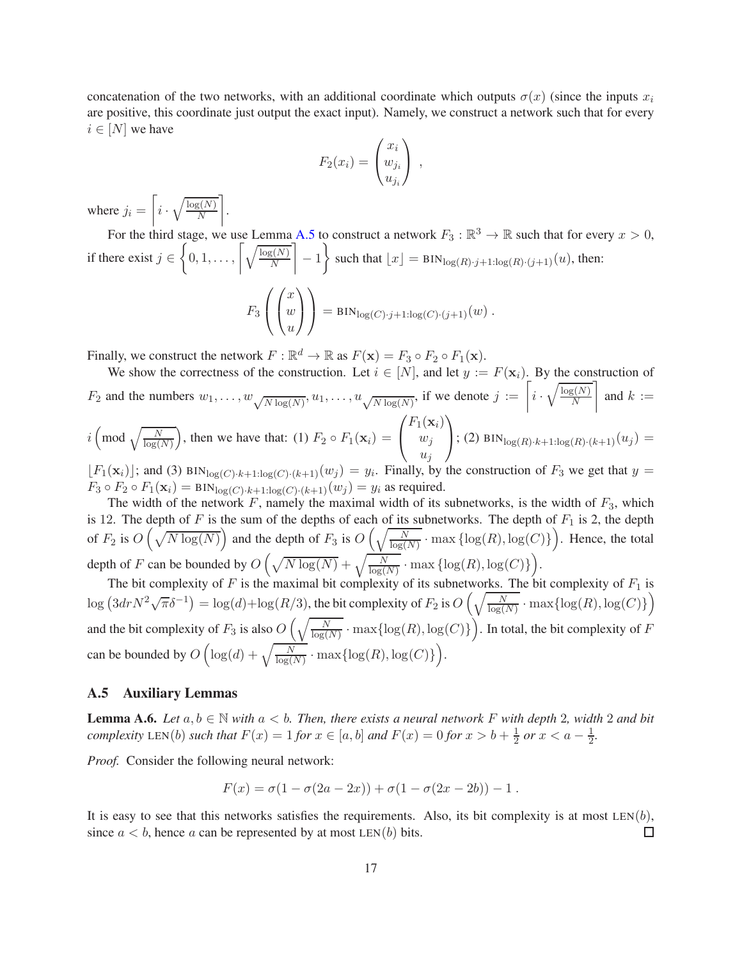concatenation of the two networks, with an additional coordinate which outputs  $\sigma(x)$  (since the inputs  $x_i$ are positive, this coordinate just output the exact input). Namely, we construct a network such that for every  $i \in [N]$  we have

$$
F_2(x_i) = \begin{pmatrix} x_i \\ w_{j_i} \\ u_{j_i} \end{pmatrix} ,
$$

where  $j_i = \left[ i \cdot \sqrt{\frac{\log(N)}{N}} \right]$ N .

For the third stage, we use Lemma [A.5](#page-13-1) to construct a network  $F_3 : \mathbb{R}^3 \to \mathbb{R}$  such that for every  $x > 0$ , if there exist  $j \in \left\{0, 1, \ldots, \left\lceil \sqrt{\frac{\log(N)}{N}} \right\rceil \right\}$ N | - 1 \ such that  $\lfloor x \rfloor = \text{BIN}_{\log(R)\cdot j+1:\log(R)\cdot (j+1)}(u)$ , then:  $F_3$  $\sqrt{ }$  $\mathcal{L}$  $\sqrt{ }$  $\mathcal{L}$  $\boldsymbol{x}$  $\omega$ u  $\setminus$  $\overline{1}$  $\setminus$  $=$  BIN<sub>log(*C*)·*j*+1:log(*C*)·(*j*+1)</sub>(*w*).

Finally, we construct the network  $F : \mathbb{R}^d \to \mathbb{R}$  as  $F(\mathbf{x}) = F_3 \circ F_2 \circ F_1(\mathbf{x})$ .

We show the correctness of the construction. Let  $i \in [N]$ , and let  $y := F(\mathbf{x}_i)$ . By the construction of  $F_2$  and the numbers  $w_1, \ldots, w_{\sqrt{N \log(N)}}$ ,  $u_1, \ldots, u_{\sqrt{N \log(N)}}$ , if we denote  $j := \left[ i \cdot \sqrt{\frac{\log(N)}{N}} \right]$ N and  $k :=$  $i \left( \text{mod } \sqrt{\frac{N}{\log(N)}} \right)$ , then we have that: (1)  $F_2 \circ F_1(\mathbf{x}_i) =$  $\sqrt{ }$  $\overline{1}$  $F_1(\mathbf{x}_i)$  $w_j$  $u_j$  $\setminus$ ; (2) BIN<sub>log(R)</sub>· $k+1$ :log(R)· $(k+1)(u_j)$  =

 $[F_1(\mathbf{x}_i)]$ ; and (3) BIN<sub>log(C)</sub>·k+1:log(C)·(k+1)(w<sub>j</sub>) = y<sub>i</sub>. Finally, by the construction of  $F_3$  we get that  $y =$  $F_3 \circ F_2 \circ F_1(\mathbf{x}_i) = \text{BIN}_{\log(C) \cdot k+1:\log(C) \cdot (k+1)}(w_j) = y_i$  as required.

The width of the network  $F$ , namely the maximal width of its subnetworks, is the width of  $F_3$ , which is 12. The depth of F is the sum of the depths of each of its subnetworks. The depth of  $F_1$  is 2, the depth of  $F_2$  is  $O\left(\sqrt{N\log(N)}\right)$  and the depth of  $F_3$  is  $O\left(\sqrt{\frac{N}{\log(N)}}\cdot \max\left\{\log(R), \log(C)\right\}\right)$ . Hence, the total depth of F can be bounded by  $O\left(\sqrt{N\log(N)} + \sqrt{\frac{N}{\log(N)}} \cdot \max\left\{\log(R), \log(C)\right\}\right)$ .

The bit complexity of F is the maximal bit complexity of its subnetworks. The bit complexity of  $F_1$  is  $\log\left(3drN^{2}\sqrt{\pi}\delta^{-1}\right)=\log(d)+\log(R/3),$  the bit complexity of  $F_{2}$  is  $O\left(\sqrt{\frac{N}{\log(N)}}\cdot\max\{\log(R),\log(C)\}\right)$ and the bit complexity of  $F_3$  is also  $O\left(\sqrt{\frac{N}{\log(N)}} \cdot \max\{\log(R), \log(C)\}\right)$ . In total, the bit complexity of F can be bounded by  $O\left(\log(d) + \sqrt{\frac{N}{\log(N)}} \cdot \max\{\log(R), \log(C)\}\right)$ .

#### A.5 Auxiliary Lemmas

<span id="page-16-0"></span>**Lemma A.6.** *Let*  $a, b \in \mathbb{N}$  *with*  $a < b$ *. Then, there exists a neural network* F *with depth* 2*, width* 2 *and bit complexity* LEN(*b*) *such that*  $F(x) = 1$  *for*  $x \in [a, b]$  *and*  $F(x) = 0$  *for*  $x > b + \frac{1}{2}$  $rac{1}{2}$  or  $x < a - \frac{1}{2}$  $\frac{1}{2}$ .

*Proof.* Consider the following neural network:

$$
F(x) = \sigma(1 - \sigma(2a - 2x)) + \sigma(1 - \sigma(2x - 2b)) - 1.
$$

It is easy to see that this networks satisfies the requirements. Also, its bit complexity is at most  $LEN(b)$ , since  $a < b$ , hence a can be represented by at most LEN(b) bits.  $\Box$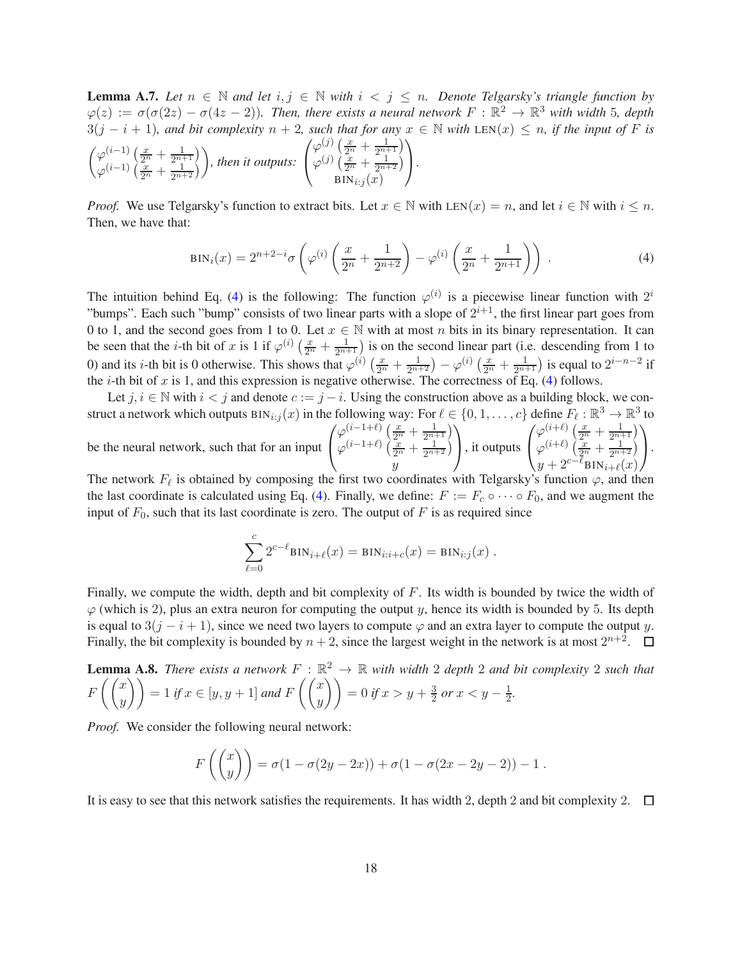<span id="page-17-0"></span>**Lemma A.7.** Let  $n \in \mathbb{N}$  and let  $i, j \in \mathbb{N}$  with  $i < j \leq n$ . Denote Telgarsky's triangle function by  $\varphi(z) := \sigma(\sigma(2z) - \sigma(4z - 2))$ . Then, there exists a neural network  $F : \mathbb{R}^2 \to \mathbb{R}^3$  with width 5, depth  $3(j - i + 1)$ *, and bit complexity*  $n + 2$ *, such that for any*  $x \in \mathbb{N}$  *with* LEN(x)  $\leq n$ *, if the input of* F *is* 

$$
\begin{pmatrix} \varphi^{(i-1)}\left(\frac{x}{2^n} + \frac{1}{2^{n+1}}\right) \\ \varphi^{(i-1)}\left(\frac{x}{2^n} + \frac{1}{2^{n+2}}\right) \end{pmatrix}, \text{ then it outputs: } \begin{pmatrix} \varphi^{(j)}\left(\frac{x}{2^n} + \frac{1}{2^{n+1}}\right) \\ \varphi^{(j)}\left(\frac{x}{2^n} + \frac{1}{2^{n+2}}\right) \\ \text{BIN}_{i:j}(x) \end{pmatrix}.
$$

*Proof.* We use Telgarsky's function to extract bits. Let  $x \in \mathbb{N}$  with LEN(x) = n, and let  $i \in \mathbb{N}$  with  $i \leq n$ . Then, we have that:

<span id="page-17-2"></span>
$$
BIN_i(x) = 2^{n+2-i} \sigma \left( \varphi^{(i)} \left( \frac{x}{2^n} + \frac{1}{2^{n+2}} \right) - \varphi^{(i)} \left( \frac{x}{2^n} + \frac{1}{2^{n+1}} \right) \right) . \tag{4}
$$

The intuition behind Eq. [\(4\)](#page-17-2) is the following: The function  $\varphi^{(i)}$  is a piecewise linear function with  $2^i$ "bumps". Each such "bump" consists of two linear parts with a slope of  $2^{i+1}$ , the first linear part goes from 0 to 1, and the second goes from 1 to 0. Let  $x \in \mathbb{N}$  with at most n bits in its binary representation. It can be seen that the *i*-th bit of x is 1 if  $\varphi^{(i)}\left(\frac{x}{2^n} + \frac{1}{2^{n+1}}\right)$  is on the second linear part (i.e. descending from 1 to 0) and its *i*-th bit is 0 otherwise. This shows that  $\varphi^{(i)}\left(\frac{x}{2^n} + \frac{1}{2^{n+2}}\right) - \varphi^{(i)}\left(\frac{x}{2^n} + \frac{1}{2^{n+1}}\right)$  is equal to  $2^{i-n-2}$  if the *i*-th bit of x is 1, and this expression is negative otherwise. The correctness of Eq. [\(4\)](#page-17-2) follows.

Let  $j, i \in \mathbb{N}$  with  $i < j$  and denote  $c := j - i$ . Using the construction above as a building block, we construct a network which outputs  $\text{BIN}_{i:j}(x)$  in the following way: For  $\ell \in \{0, 1, ..., c\}$  define  $F_{\ell}: \mathbb{R}^3 \to \mathbb{R}^3$  to be the neural network, such that for an input  $\sqrt{ }$  $\overline{1}$  $\varphi_{(i-1+\ell)}^{(i-1+\ell)} \left( \frac{x}{2^n} + \frac{1}{2^{n+1}} \right)$  $\varphi^{(i-1+\ell)}\left(\frac{x}{2^n}+\frac{1}{2^{n+2}}\right)$  $\hat{y}$  $\setminus$ , it outputs  $\sqrt{ }$  $\mathcal{L}$  $\varphi_{(i+1)}^{(i+\ell)}\left(\frac{x}{2^n}+\frac{1}{2^{n+1}}\right)$  $\varphi^{(i+\ell)}\left(\frac{x}{2^n}+\frac{1}{2^{n+2}}\right)$  $y + 2^{c-\ell}$ BIN $_{i+\ell}(x)$  $\setminus$  $\cdot$ 

The network  $F_{\ell}$  is obtained by composing the first two coordinates with Telgarsky's function  $\varphi$ , and then the last coordinate is calculated using Eq. [\(4\)](#page-17-2). Finally, we define:  $F := F_c \circ \cdots \circ F_0$ , and we augment the input of  $F_0$ , such that its last coordinate is zero. The output of F is as required since

$$
\sum_{\ell=0}^{c} 2^{c-\ell} BIN_{i+\ell}(x) = BIN_{i:i+c}(x) = BIN_{i:j}(x) .
$$

Finally, we compute the width, depth and bit complexity of F. Its width is bounded by twice the width of  $\varphi$  (which is 2), plus an extra neuron for computing the output y, hence its width is bounded by 5. Its depth is equal to  $3(j - i + 1)$ , since we need two layers to compute  $\varphi$  and an extra layer to compute the output y. Finally, the bit complexity is bounded by  $n + 2$ , since the largest weight in the network is at most  $2^{n+2}$ .

<span id="page-17-1"></span>**Lemma A.8.** There exists a network 
$$
F : \mathbb{R}^2 \to \mathbb{R}
$$
 with width 2 depth 2 and bit complexity 2 such that  $F\left(\begin{pmatrix} x \\ y \end{pmatrix}\right) = 1$  if  $x \in [y, y + 1]$  and  $F\left(\begin{pmatrix} x \\ y \end{pmatrix}\right) = 0$  if  $x > y + \frac{3}{2}$  or  $x < y - \frac{1}{2}$ .

*Proof.* We consider the following neural network:

$$
F\left(\binom{x}{y}\right) = \sigma(1 - \sigma(2y - 2x)) + \sigma(1 - \sigma(2x - 2y - 2)) - 1.
$$

It is easy to see that this network satisfies the requirements. It has width 2, depth 2 and bit complexity 2.  $\Box$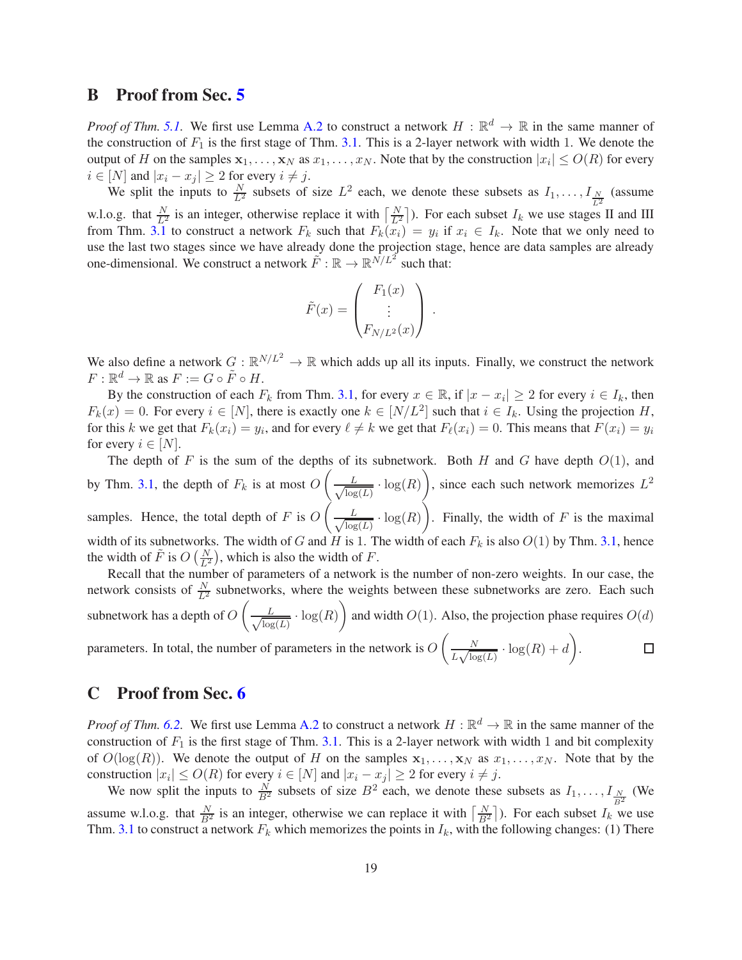# <span id="page-18-0"></span>B Proof from Sec. [5](#page-6-0)

*Proof of Thm.* [5.1.](#page-7-0) We first use Lemma [A.2](#page-11-10) to construct a network  $H : \mathbb{R}^d \to \mathbb{R}$  in the same manner of the construction of  $F_1$  is the first stage of Thm. [3.1.](#page-4-2) This is a 2-layer network with width 1. We denote the output of H on the samples  $x_1, \ldots, x_N$  as  $x_1, \ldots, x_N$ . Note that by the construction  $|x_i| \leq O(R)$  for every  $i \in [N]$  and  $|x_i - x_j| \ge 2$  for every  $i \ne j$ .

We split the inputs to  $\frac{N}{L^2}$  subsets of size  $L^2$  each, we denote these subsets as  $I_1, \ldots, I_{\frac{N}{L^2}}$  (assume w.l.o.g. that  $\frac{N}{L^2}$  is an integer, otherwise replace it with  $\left[\frac{N}{L^2}\right]$ ). For each subset  $I_k$  we use stages II and III from Thm. [3.1](#page-4-2) to construct a network  $F_k$  such that  $F_k(x_i) = y_i$  if  $x_i \in I_k$ . Note that we only need to use the last two stages since we have already done the projection stage, hence are data samples are already one-dimensional. We construct a network  $\tilde{F}: \mathbb{R} \to \mathbb{R}^{N/L^2}$  such that:

$$
\tilde{F}(x) = \begin{pmatrix} F_1(x) \\ \vdots \\ F_{N/L^2}(x) \end{pmatrix} .
$$

We also define a network  $G : \mathbb{R}^{N/L^2} \to \mathbb{R}$  which adds up all its inputs. Finally, we construct the network  $F: \mathbb{R}^d \to \mathbb{R}$  as  $F := G \circ \tilde{F} \circ H$ .

By the construction of each  $F_k$  from Thm. [3.1,](#page-4-2) for every  $x \in \mathbb{R}$ , if  $|x - x_i| \ge 2$  for every  $i \in I_k$ , then  $F_k(x) = 0$ . For every  $i \in [N]$ , there is exactly one  $k \in [N/L^2]$  such that  $i \in I_k$ . Using the projection H, for this k we get that  $F_k(x_i) = y_i$ , and for every  $\ell \neq k$  we get that  $F_\ell(x_i) = 0$ . This means that  $F(x_i) = y_i$ for every  $i \in [N]$ .

The depth of F is the sum of the depths of its subnetwork. Both H and G have depth  $O(1)$ , and by Thm. [3.1,](#page-4-2) the depth of  $F_k$  is at most  $O\left(\frac{F_k}{F_k}\right)$  $\frac{L}{\sqrt{\log L}}$  $\frac{L}{\log(L)} \cdot \log(R)$ , since each such network memorizes  $L^2$ samples. Hence, the total depth of F is  $O(n)$ √ L  $\frac{L}{\log(L)} \cdot \log(R)$ . Finally, the width of F is the maximal width of its subnetworks. The width of G and H is 1. The width of each  $F_k$  is also  $O(1)$  by Thm. [3.1,](#page-4-2) hence the width of  $\tilde{F}$  is  $O\left(\frac{N}{L^2}\right)$ , which is also the width of F.

Recall that the number of parameters of a network is the number of non-zero weights. In our case, the network consists of  $\frac{N}{L^2}$  subnetworks, where the weights between these subnetworks are zero. Each such subnetwork has a depth of  $O\left(\frac{1}{2}\right)$ √ L  $\frac{L}{\log(L)} \cdot \log(R)$  and width  $O(1)$ . Also, the projection phase requires  $O(d)$ 

parameters. In total, the number of parameters in the network is  $O\left(\frac{N}{K\sqrt{N}}\right)$  $\frac{N}{L\sqrt{\log(L)}} \cdot \log(R) + d$ .  $\Box$ 

# <span id="page-18-1"></span>C Proof from Sec. [6](#page-7-2)

*Proof of Thm.* [6.2.](#page-8-0) We first use Lemma [A.2](#page-11-10) to construct a network  $H : \mathbb{R}^d \to \mathbb{R}$  in the same manner of the construction of  $F_1$  is the first stage of Thm. [3.1.](#page-4-2) This is a 2-layer network with width 1 and bit complexity of  $O(\log(R))$ . We denote the output of H on the samples  $x_1, \ldots, x_N$  as  $x_1, \ldots, x_N$ . Note that by the construction  $|x_i| \leq O(R)$  for every  $i \in [N]$  and  $|x_i - x_j| \geq 2$  for every  $i \neq j$ .

We now split the inputs to  $\frac{N}{B^2}$  subsets of size  $B^2$  each, we denote these subsets as  $I_1, \ldots, I_{\frac{N}{B^2}}$  (We assume w.l.o.g. that  $\frac{N}{B^2}$  is an integer, otherwise we can replace it with  $\left\lceil \frac{N}{B^2} \right\rceil$ ). For each subset  $I_k$  we use Thm. [3.1](#page-4-2) to construct a network  $F_k$  which memorizes the points in  $I_k$ , with the following changes: (1) There